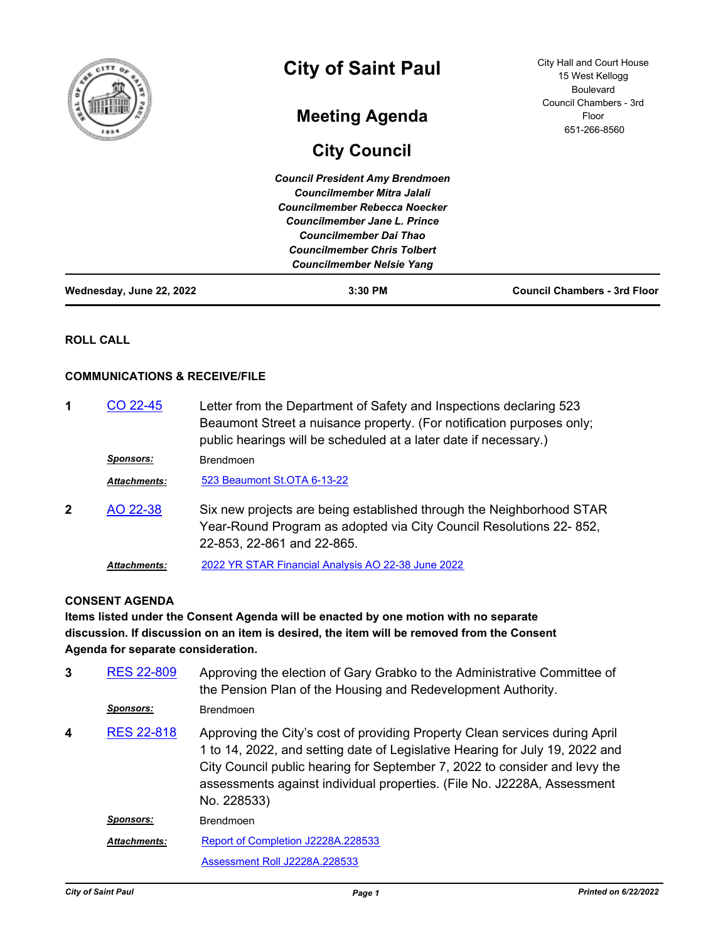| f<br>តិ                  | <b>City of Saint Paul</b>                                                                                                                                                                             | City Hall and Court House<br>15 West Kellogg<br><b>Boulevard</b> |
|--------------------------|-------------------------------------------------------------------------------------------------------------------------------------------------------------------------------------------------------|------------------------------------------------------------------|
|                          | <b>Meeting Agenda</b>                                                                                                                                                                                 | Council Chambers - 3rd<br>Floor<br>651-266-8560                  |
|                          | <b>City Council</b>                                                                                                                                                                                   |                                                                  |
|                          | <b>Council President Amy Brendmoen</b><br>Councilmember Mitra Jalali<br>Councilmember Rebecca Noecker<br>Councilmember Jane L. Prince<br>Councilmember Dai Thao<br><b>Councilmember Chris Tolbert</b> |                                                                  |
|                          | <b>Councilmember Nelsie Yang</b>                                                                                                                                                                      |                                                                  |
| Wednesday, June 22, 2022 | $3:30$ PM                                                                                                                                                                                             | <b>Council Chambers - 3rd Floor</b>                              |

# **ROLL CALL**

# **COMMUNICATIONS & RECEIVE/FILE**

| 1 | CO 22-45            | Letter from the Department of Safety and Inspections declaring 523<br>Beaumont Street a nuisance property. (For notification purposes only;<br>public hearings will be scheduled at a later date if necessary.) |
|---|---------------------|-----------------------------------------------------------------------------------------------------------------------------------------------------------------------------------------------------------------|
|   | <b>Sponsors:</b>    | Brendmoen                                                                                                                                                                                                       |
|   | <b>Attachments:</b> | 523 Beaumont St.OTA 6-13-22                                                                                                                                                                                     |
|   | AO 22-38            | Six new projects are being established through the Neighborhood STAR<br>Year-Round Program as adopted via City Council Resolutions 22-852,<br>22-853, 22-861 and 22-865.                                        |
|   | <b>Attachments:</b> | 2022 YR STAR Financial Analysis AO 22-38 June 2022                                                                                                                                                              |

## **CONSENT AGENDA**

**Items listed under the Consent Agenda will be enacted by one motion with no separate discussion. If discussion on an item is desired, the item will be removed from the Consent Agenda for separate consideration.**

| 3                | <b>RES 22-809</b>   | Approving the election of Gary Grabko to the Administrative Committee of<br>the Pension Plan of the Housing and Redevelopment Authority.                                                                                                                                                                                            |
|------------------|---------------------|-------------------------------------------------------------------------------------------------------------------------------------------------------------------------------------------------------------------------------------------------------------------------------------------------------------------------------------|
|                  | Sponsors:           | Brendmoen                                                                                                                                                                                                                                                                                                                           |
| $\boldsymbol{4}$ | <b>RES 22-818</b>   | Approving the City's cost of providing Property Clean services during April<br>1 to 14, 2022, and setting date of Legislative Hearing for July 19, 2022 and<br>City Council public hearing for September 7, 2022 to consider and levy the<br>assessments against individual properties. (File No. J2228A, Assessment<br>No. 228533) |
|                  | Sponsors:           | Brendmoen                                                                                                                                                                                                                                                                                                                           |
|                  | <b>Attachments:</b> | Report of Completion J2228A.228533                                                                                                                                                                                                                                                                                                  |
|                  |                     | Assessment Roll J2228A.228533                                                                                                                                                                                                                                                                                                       |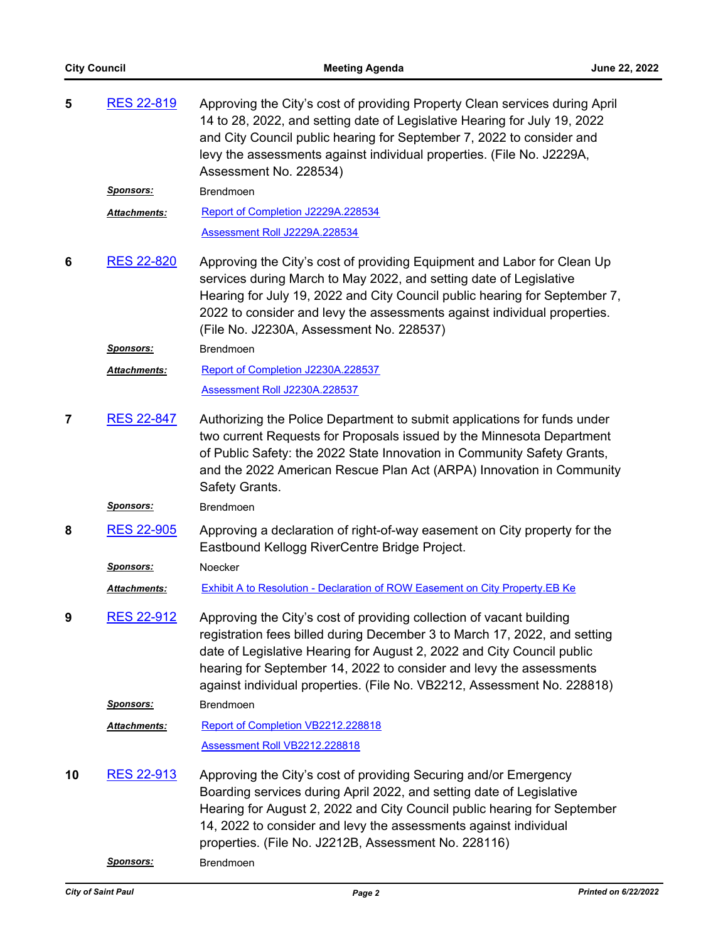| 5                       | <b>RES 22-819</b>   | Approving the City's cost of providing Property Clean services during April<br>14 to 28, 2022, and setting date of Legislative Hearing for July 19, 2022<br>and City Council public hearing for September 7, 2022 to consider and<br>levy the assessments against individual properties. (File No. J2229A,<br>Assessment No. 228534)                                          |
|-------------------------|---------------------|-------------------------------------------------------------------------------------------------------------------------------------------------------------------------------------------------------------------------------------------------------------------------------------------------------------------------------------------------------------------------------|
|                         | <u>Sponsors:</u>    | <b>Brendmoen</b>                                                                                                                                                                                                                                                                                                                                                              |
|                         | Attachments:        | Report of Completion J2229A.228534                                                                                                                                                                                                                                                                                                                                            |
|                         |                     | Assessment Roll J2229A.228534                                                                                                                                                                                                                                                                                                                                                 |
| 6                       | <b>RES 22-820</b>   | Approving the City's cost of providing Equipment and Labor for Clean Up<br>services during March to May 2022, and setting date of Legislative<br>Hearing for July 19, 2022 and City Council public hearing for September 7,<br>2022 to consider and levy the assessments against individual properties.<br>(File No. J2230A, Assessment No. 228537)                           |
|                         | Sponsors:           | <b>Brendmoen</b>                                                                                                                                                                                                                                                                                                                                                              |
|                         | <b>Attachments:</b> | Report of Completion J2230A.228537                                                                                                                                                                                                                                                                                                                                            |
|                         |                     | Assessment Roll J2230A.228537                                                                                                                                                                                                                                                                                                                                                 |
| $\overline{\mathbf{r}}$ | <b>RES 22-847</b>   | Authorizing the Police Department to submit applications for funds under<br>two current Requests for Proposals issued by the Minnesota Department<br>of Public Safety: the 2022 State Innovation in Community Safety Grants,<br>and the 2022 American Rescue Plan Act (ARPA) Innovation in Community<br>Safety Grants.                                                        |
|                         | <u>Sponsors:</u>    | <b>Brendmoen</b>                                                                                                                                                                                                                                                                                                                                                              |
| 8                       | RES 22-905          | Approving a declaration of right-of-way easement on City property for the<br>Eastbound Kellogg RiverCentre Bridge Project.                                                                                                                                                                                                                                                    |
|                         | Sponsors:           | Noecker                                                                                                                                                                                                                                                                                                                                                                       |
|                         | Attachments:        | <b>Exhibit A to Resolution - Declaration of ROW Easement on City Property.EB Ke</b>                                                                                                                                                                                                                                                                                           |
| 9                       | <b>RES 22-912</b>   | Approving the City's cost of providing collection of vacant building<br>registration fees billed during December 3 to March 17, 2022, and setting<br>date of Legislative Hearing for August 2, 2022 and City Council public<br>hearing for September 14, 2022 to consider and levy the assessments<br>against individual properties. (File No. VB2212, Assessment No. 228818) |
|                         | <u>Sponsors:</u>    | <b>Brendmoen</b>                                                                                                                                                                                                                                                                                                                                                              |
|                         | Attachments:        | Report of Completion VB2212.228818                                                                                                                                                                                                                                                                                                                                            |
|                         |                     | Assessment Roll VB2212.228818                                                                                                                                                                                                                                                                                                                                                 |
| 10                      | RES 22-913          | Approving the City's cost of providing Securing and/or Emergency<br>Boarding services during April 2022, and setting date of Legislative<br>Hearing for August 2, 2022 and City Council public hearing for September<br>14, 2022 to consider and levy the assessments against individual<br>properties. (File No. J2212B, Assessment No. 228116)                              |
|                         | <u>Sponsors:</u>    | Brendmoen                                                                                                                                                                                                                                                                                                                                                                     |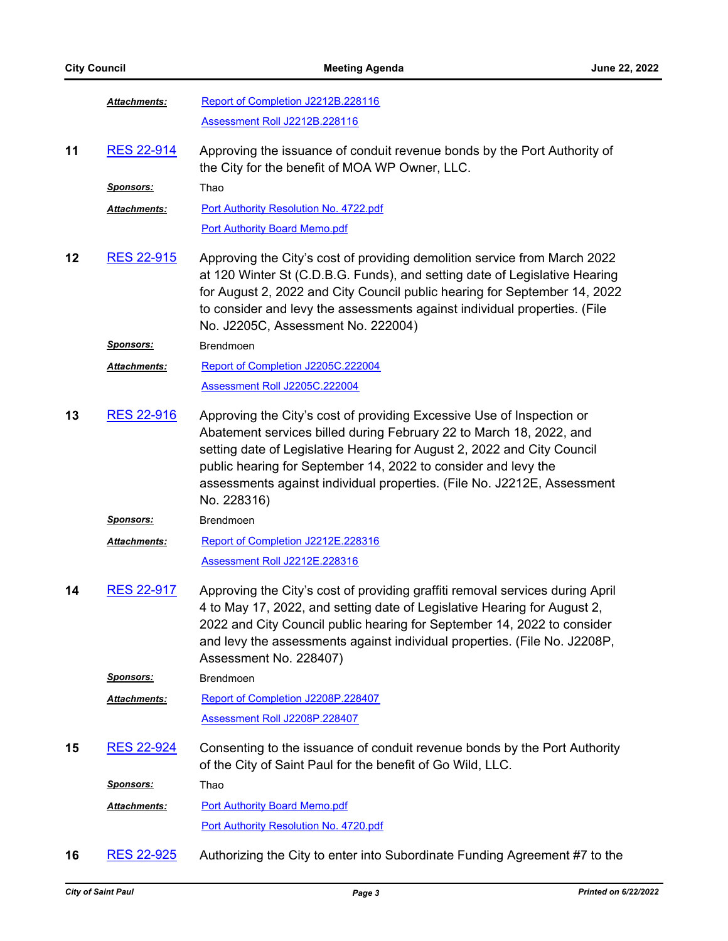|    | Attachments:        | Report of Completion J2212B.228116                                                                                                                                                                                                                                                                                                                                                  |
|----|---------------------|-------------------------------------------------------------------------------------------------------------------------------------------------------------------------------------------------------------------------------------------------------------------------------------------------------------------------------------------------------------------------------------|
|    |                     | Assessment Roll J2212B.228116                                                                                                                                                                                                                                                                                                                                                       |
| 11 | <b>RES 22-914</b>   | Approving the issuance of conduit revenue bonds by the Port Authority of<br>the City for the benefit of MOA WP Owner, LLC.                                                                                                                                                                                                                                                          |
|    | <b>Sponsors:</b>    | Thao                                                                                                                                                                                                                                                                                                                                                                                |
|    | Attachments:        | Port Authority Resolution No. 4722.pdf                                                                                                                                                                                                                                                                                                                                              |
|    |                     | <b>Port Authority Board Memo.pdf</b>                                                                                                                                                                                                                                                                                                                                                |
| 12 | <b>RES 22-915</b>   | Approving the City's cost of providing demolition service from March 2022<br>at 120 Winter St (C.D.B.G. Funds), and setting date of Legislative Hearing<br>for August 2, 2022 and City Council public hearing for September 14, 2022<br>to consider and levy the assessments against individual properties. (File<br>No. J2205C, Assessment No. 222004)                             |
|    | <u>Sponsors:</u>    | Brendmoen                                                                                                                                                                                                                                                                                                                                                                           |
|    | Attachments:        | Report of Completion J2205C.222004                                                                                                                                                                                                                                                                                                                                                  |
|    |                     | Assessment Roll J2205C.222004                                                                                                                                                                                                                                                                                                                                                       |
| 13 | <b>RES 22-916</b>   | Approving the City's cost of providing Excessive Use of Inspection or<br>Abatement services billed during February 22 to March 18, 2022, and<br>setting date of Legislative Hearing for August 2, 2022 and City Council<br>public hearing for September 14, 2022 to consider and levy the<br>assessments against individual properties. (File No. J2212E, Assessment<br>No. 228316) |
|    | <u>Sponsors:</u>    | <b>Brendmoen</b>                                                                                                                                                                                                                                                                                                                                                                    |
|    | Attachments:        | Report of Completion J2212E.228316                                                                                                                                                                                                                                                                                                                                                  |
|    |                     | Assessment Roll J2212E.228316                                                                                                                                                                                                                                                                                                                                                       |
| 14 | <b>RES 22-917</b>   | Approving the City's cost of providing graffiti removal services during April<br>4 to May 17, 2022, and setting date of Legislative Hearing for August 2,<br>2022 and City Council public hearing for September 14, 2022 to consider<br>and levy the assessments against individual properties. (File No. J2208P,<br>Assessment No. 228407)                                         |
|    | <u>Sponsors:</u>    | Brendmoen                                                                                                                                                                                                                                                                                                                                                                           |
|    | <b>Attachments:</b> | Report of Completion J2208P.228407                                                                                                                                                                                                                                                                                                                                                  |
|    |                     | Assessment Roll J2208P.228407                                                                                                                                                                                                                                                                                                                                                       |
| 15 | <b>RES 22-924</b>   | Consenting to the issuance of conduit revenue bonds by the Port Authority<br>of the City of Saint Paul for the benefit of Go Wild, LLC.                                                                                                                                                                                                                                             |
|    | <u>Sponsors:</u>    | Thao                                                                                                                                                                                                                                                                                                                                                                                |
|    | Attachments:        | <b>Port Authority Board Memo.pdf</b>                                                                                                                                                                                                                                                                                                                                                |
|    |                     | Port Authority Resolution No. 4720.pdf                                                                                                                                                                                                                                                                                                                                              |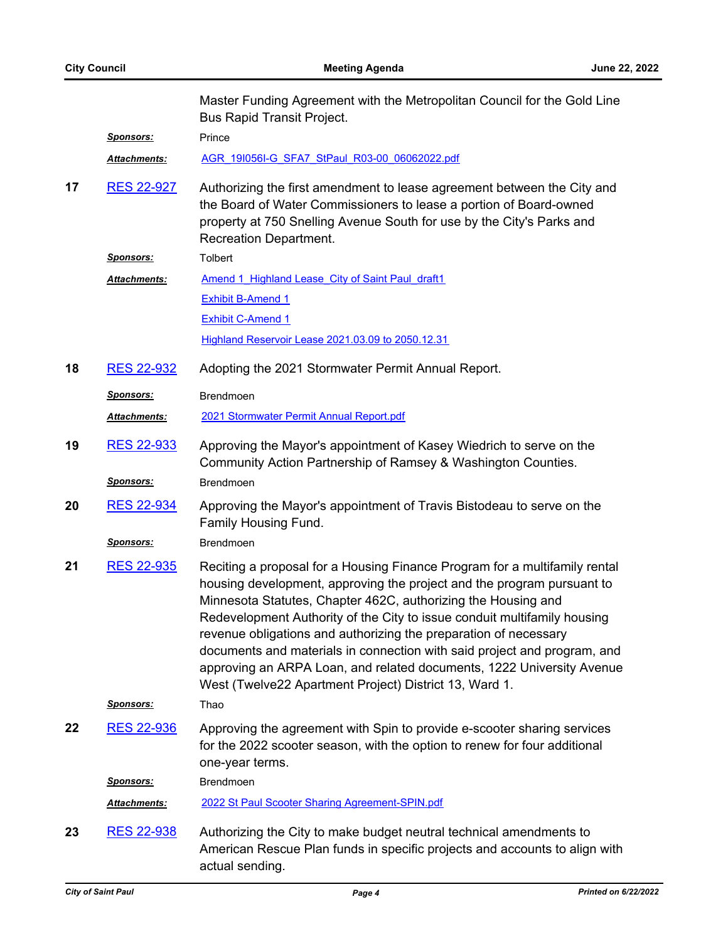|    |                     | Master Funding Agreement with the Metropolitan Council for the Gold Line<br><b>Bus Rapid Transit Project.</b>                                                                                                                                                                                                                                                                                                                                                                                                                                                                        |
|----|---------------------|--------------------------------------------------------------------------------------------------------------------------------------------------------------------------------------------------------------------------------------------------------------------------------------------------------------------------------------------------------------------------------------------------------------------------------------------------------------------------------------------------------------------------------------------------------------------------------------|
|    | <u>Sponsors:</u>    | Prince                                                                                                                                                                                                                                                                                                                                                                                                                                                                                                                                                                               |
|    | <b>Attachments:</b> | AGR 1910561-G SFA7 StPaul R03-00 06062022.pdf                                                                                                                                                                                                                                                                                                                                                                                                                                                                                                                                        |
| 17 | <b>RES 22-927</b>   | Authorizing the first amendment to lease agreement between the City and<br>the Board of Water Commissioners to lease a portion of Board-owned<br>property at 750 Snelling Avenue South for use by the City's Parks and<br><b>Recreation Department.</b>                                                                                                                                                                                                                                                                                                                              |
|    | <u>Sponsors:</u>    | Tolbert                                                                                                                                                                                                                                                                                                                                                                                                                                                                                                                                                                              |
|    | Attachments:        | Amend 1 Highland Lease City of Saint Paul draft1                                                                                                                                                                                                                                                                                                                                                                                                                                                                                                                                     |
|    |                     | <b>Exhibit B-Amend 1</b>                                                                                                                                                                                                                                                                                                                                                                                                                                                                                                                                                             |
|    |                     | <b>Exhibit C-Amend 1</b>                                                                                                                                                                                                                                                                                                                                                                                                                                                                                                                                                             |
|    |                     | Highland Reservoir Lease 2021.03.09 to 2050.12.31                                                                                                                                                                                                                                                                                                                                                                                                                                                                                                                                    |
| 18 | <b>RES 22-932</b>   | Adopting the 2021 Stormwater Permit Annual Report.                                                                                                                                                                                                                                                                                                                                                                                                                                                                                                                                   |
|    | <b>Sponsors:</b>    | <b>Brendmoen</b>                                                                                                                                                                                                                                                                                                                                                                                                                                                                                                                                                                     |
|    | <b>Attachments:</b> | 2021 Stormwater Permit Annual Report.pdf                                                                                                                                                                                                                                                                                                                                                                                                                                                                                                                                             |
| 19 | <b>RES 22-933</b>   | Approving the Mayor's appointment of Kasey Wiedrich to serve on the<br>Community Action Partnership of Ramsey & Washington Counties.                                                                                                                                                                                                                                                                                                                                                                                                                                                 |
|    | Sponsors:           | Brendmoen                                                                                                                                                                                                                                                                                                                                                                                                                                                                                                                                                                            |
| 20 | <b>RES 22-934</b>   | Approving the Mayor's appointment of Travis Bistodeau to serve on the<br>Family Housing Fund.                                                                                                                                                                                                                                                                                                                                                                                                                                                                                        |
|    | <u>Sponsors:</u>    | <b>Brendmoen</b>                                                                                                                                                                                                                                                                                                                                                                                                                                                                                                                                                                     |
| 21 | <b>RES 22-935</b>   | Reciting a proposal for a Housing Finance Program for a multifamily rental<br>housing development, approving the project and the program pursuant to<br>Minnesota Statutes, Chapter 462C, authorizing the Housing and<br>Redevelopment Authority of the City to issue conduit multifamily housing<br>revenue obligations and authorizing the preparation of necessary<br>documents and materials in connection with said project and program, and<br>approving an ARPA Loan, and related documents, 1222 University Avenue<br>West (Twelve22 Apartment Project) District 13, Ward 1. |
|    | <b>Sponsors:</b>    | Thao                                                                                                                                                                                                                                                                                                                                                                                                                                                                                                                                                                                 |
| 22 | RES 22-936          | Approving the agreement with Spin to provide e-scooter sharing services<br>for the 2022 scooter season, with the option to renew for four additional<br>one-year terms.                                                                                                                                                                                                                                                                                                                                                                                                              |
|    | <b>Sponsors:</b>    | <b>Brendmoen</b>                                                                                                                                                                                                                                                                                                                                                                                                                                                                                                                                                                     |
|    | Attachments:        | 2022 St Paul Scooter Sharing Agreement-SPIN.pdf                                                                                                                                                                                                                                                                                                                                                                                                                                                                                                                                      |
| 23 | <b>RES 22-938</b>   | Authorizing the City to make budget neutral technical amendments to<br>American Rescue Plan funds in specific projects and accounts to align with<br>actual sending.                                                                                                                                                                                                                                                                                                                                                                                                                 |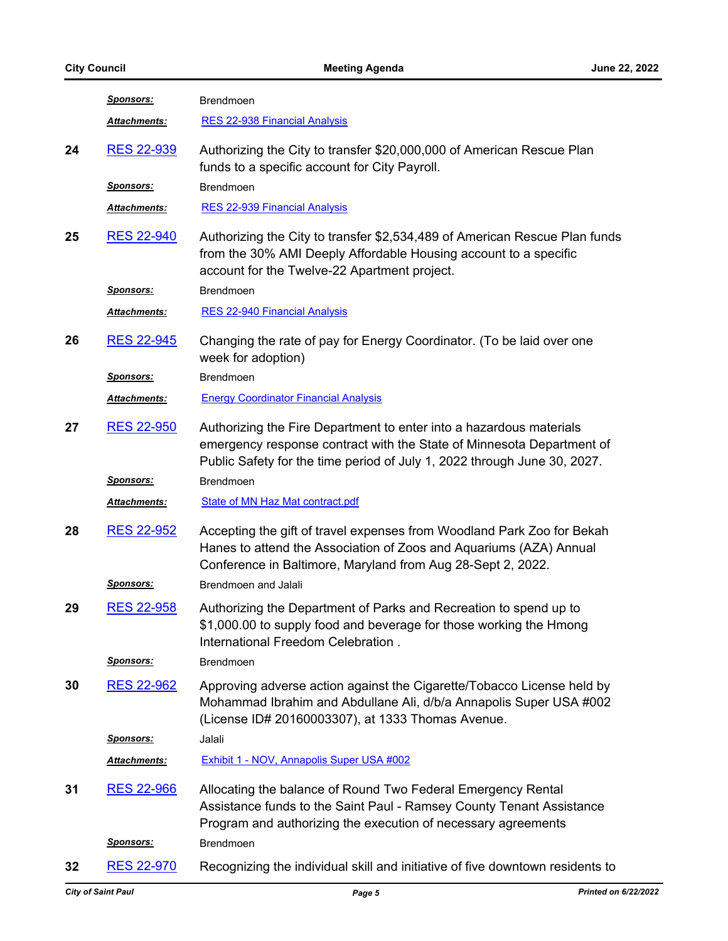|    | <u>Sponsors:</u>    | Brendmoen                                                                                                                                                                                                                |
|----|---------------------|--------------------------------------------------------------------------------------------------------------------------------------------------------------------------------------------------------------------------|
|    | Attachments:        | <b>RES 22-938 Financial Analysis</b>                                                                                                                                                                                     |
| 24 | <b>RES 22-939</b>   | Authorizing the City to transfer \$20,000,000 of American Rescue Plan<br>funds to a specific account for City Payroll.                                                                                                   |
|    | <u>Sponsors:</u>    | <b>Brendmoen</b>                                                                                                                                                                                                         |
|    | <b>Attachments:</b> | <b>RES 22-939 Financial Analysis</b>                                                                                                                                                                                     |
| 25 | <b>RES 22-940</b>   | Authorizing the City to transfer \$2,534,489 of American Rescue Plan funds<br>from the 30% AMI Deeply Affordable Housing account to a specific<br>account for the Twelve-22 Apartment project.                           |
|    | <u>Sponsors:</u>    | <b>Brendmoen</b>                                                                                                                                                                                                         |
|    | Attachments:        | <b>RES 22-940 Financial Analysis</b>                                                                                                                                                                                     |
| 26 | <b>RES 22-945</b>   | Changing the rate of pay for Energy Coordinator. (To be laid over one<br>week for adoption)                                                                                                                              |
|    | <b>Sponsors:</b>    | <b>Brendmoen</b>                                                                                                                                                                                                         |
|    | Attachments:        | <b>Energy Coordinator Financial Analysis</b>                                                                                                                                                                             |
| 27 | <b>RES 22-950</b>   | Authorizing the Fire Department to enter into a hazardous materials<br>emergency response contract with the State of Minnesota Department of<br>Public Safety for the time period of July 1, 2022 through June 30, 2027. |
|    | <b>Sponsors:</b>    | Brendmoen                                                                                                                                                                                                                |
|    | Attachments:        | <b>State of MN Haz Mat contract.pdf</b>                                                                                                                                                                                  |
| 28 | <b>RES 22-952</b>   | Accepting the gift of travel expenses from Woodland Park Zoo for Bekah<br>Hanes to attend the Association of Zoos and Aquariums (AZA) Annual<br>Conference in Baltimore, Maryland from Aug 28-Sept 2, 2022.              |
|    | <u>Sponsors:</u>    | Brendmoen and Jalali                                                                                                                                                                                                     |
| 29 | <b>RES 22-958</b>   | Authorizing the Department of Parks and Recreation to spend up to<br>\$1,000.00 to supply food and beverage for those working the Hmong<br>International Freedom Celebration.                                            |
|    | <u>Sponsors:</u>    | <b>Brendmoen</b>                                                                                                                                                                                                         |
| 30 | <b>RES 22-962</b>   | Approving adverse action against the Cigarette/Tobacco License held by<br>Mohammad Ibrahim and Abdullane Ali, d/b/a Annapolis Super USA #002<br>(License ID# 20160003307), at 1333 Thomas Avenue.                        |
|    | <b>Sponsors:</b>    | Jalali                                                                                                                                                                                                                   |
|    | Attachments:        | Exhibit 1 - NOV, Annapolis Super USA #002                                                                                                                                                                                |
| 31 | <b>RES 22-966</b>   | Allocating the balance of Round Two Federal Emergency Rental<br>Assistance funds to the Saint Paul - Ramsey County Tenant Assistance<br>Program and authorizing the execution of necessary agreements                    |
|    | <u>Sponsors:</u>    | Brendmoen                                                                                                                                                                                                                |
| 32 | <b>RES 22-970</b>   | Recognizing the individual skill and initiative of five downtown residents to                                                                                                                                            |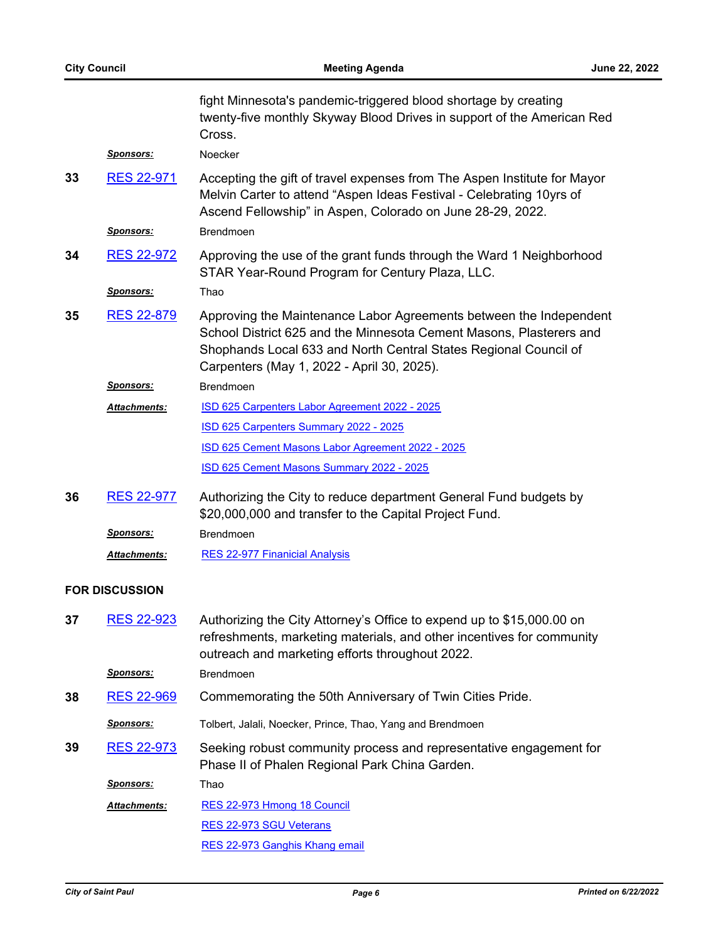|    |                       | fight Minnesota's pandemic-triggered blood shortage by creating<br>twenty-five monthly Skyway Blood Drives in support of the American Red<br>Cross.                                                                                                         |
|----|-----------------------|-------------------------------------------------------------------------------------------------------------------------------------------------------------------------------------------------------------------------------------------------------------|
|    | <b>Sponsors:</b>      | Noecker                                                                                                                                                                                                                                                     |
| 33 | <b>RES 22-971</b>     | Accepting the gift of travel expenses from The Aspen Institute for Mayor<br>Melvin Carter to attend "Aspen Ideas Festival - Celebrating 10yrs of<br>Ascend Fellowship" in Aspen, Colorado on June 28-29, 2022.                                              |
|    | <u>Sponsors:</u>      | <b>Brendmoen</b>                                                                                                                                                                                                                                            |
| 34 | <b>RES 22-972</b>     | Approving the use of the grant funds through the Ward 1 Neighborhood<br>STAR Year-Round Program for Century Plaza, LLC.                                                                                                                                     |
|    | <u>Sponsors:</u>      | Thao                                                                                                                                                                                                                                                        |
| 35 | <b>RES 22-879</b>     | Approving the Maintenance Labor Agreements between the Independent<br>School District 625 and the Minnesota Cement Masons, Plasterers and<br>Shophands Local 633 and North Central States Regional Council of<br>Carpenters (May 1, 2022 - April 30, 2025). |
|    | <u>Sponsors:</u>      | Brendmoen                                                                                                                                                                                                                                                   |
|    | Attachments:          | ISD 625 Carpenters Labor Agreement 2022 - 2025                                                                                                                                                                                                              |
|    |                       | ISD 625 Carpenters Summary 2022 - 2025                                                                                                                                                                                                                      |
|    |                       | ISD 625 Cement Masons Labor Agreement 2022 - 2025                                                                                                                                                                                                           |
|    |                       | ISD 625 Cement Masons Summary 2022 - 2025                                                                                                                                                                                                                   |
| 36 | <b>RES 22-977</b>     | Authorizing the City to reduce department General Fund budgets by<br>\$20,000,000 and transfer to the Capital Project Fund.                                                                                                                                 |
|    | <b>Sponsors:</b>      | <b>Brendmoen</b>                                                                                                                                                                                                                                            |
|    | Attachments:          | <b>RES 22-977 Finanicial Analysis</b>                                                                                                                                                                                                                       |
|    | <b>FOR DISCUSSION</b> |                                                                                                                                                                                                                                                             |
| 37 | <b>RES 22-923</b>     | Authorizing the City Attorney's Office to expend up to \$15,000.00 on<br>refreshments, marketing materials, and other incentives for community<br>outreach and marketing efforts throughout 2022.                                                           |
|    | <u>Sponsors:</u>      | <b>Brendmoen</b>                                                                                                                                                                                                                                            |
| 38 | RES 22-969            | Commemorating the 50th Anniversary of Twin Cities Pride.                                                                                                                                                                                                    |
|    | <b>Sponsors:</b>      | Tolbert, Jalali, Noecker, Prince, Thao, Yang and Brendmoen                                                                                                                                                                                                  |
| 39 | RES 22-973            | Seeking robust community process and representative engagement for<br>Phase II of Phalen Regional Park China Garden.                                                                                                                                        |
|    | <u>Sponsors:</u>      | Thao                                                                                                                                                                                                                                                        |
|    | Attachments:          | RES 22-973 Hmong 18 Council                                                                                                                                                                                                                                 |
|    |                       | RES 22-973 SGU Veterans                                                                                                                                                                                                                                     |
|    |                       | RES 22-973 Ganghis Khang email                                                                                                                                                                                                                              |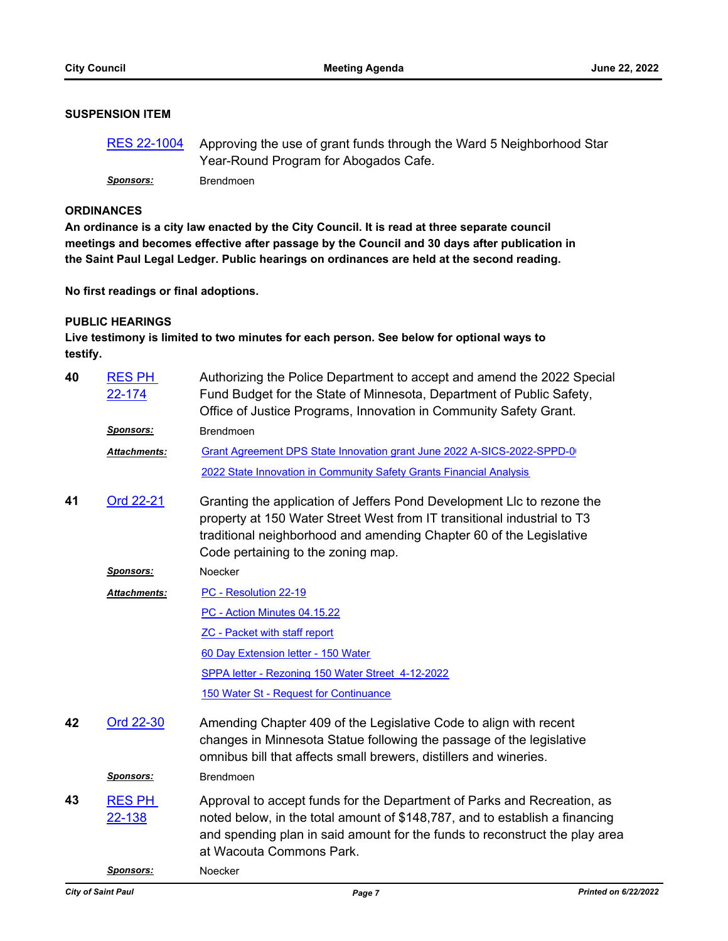# **SUSPENSION ITEM**

Approving the use of grant funds through the Ward 5 Neighborhood Star Year-Round Program for Abogados Cafe. [RES 22-1004](http://stpaul.legistar.com/gateway.aspx?m=l&id=/matter.aspx?key=42125) *Sponsors:* Brendmoen

**ORDINANCES**

**An ordinance is a city law enacted by the City Council. It is read at three separate council meetings and becomes effective after passage by the Council and 30 days after publication in the Saint Paul Legal Ledger. Public hearings on ordinances are held at the second reading.**

**No first readings or final adoptions.**

### **PUBLIC HEARINGS**

**Live testimony is limited to two minutes for each person. See below for optional ways to testify.**

| 40 | <b>RES PH</b><br>22-174 | Authorizing the Police Department to accept and amend the 2022 Special<br>Fund Budget for the State of Minnesota, Department of Public Safety,<br>Office of Justice Programs, Innovation in Community Safety Grant.                                               |
|----|-------------------------|-------------------------------------------------------------------------------------------------------------------------------------------------------------------------------------------------------------------------------------------------------------------|
|    | <b>Sponsors:</b>        | <b>Brendmoen</b>                                                                                                                                                                                                                                                  |
|    | <b>Attachments:</b>     | Grant Agreement DPS State Innovation grant June 2022 A-SICS-2022-SPPD-0<br>2022 State Innovation in Community Safety Grants Financial Analysis                                                                                                                    |
| 41 | <u>Ord 22-21</u>        | Granting the application of Jeffers Pond Development LIc to rezone the<br>property at 150 Water Street West from IT transitional industrial to T3<br>traditional neighborhood and amending Chapter 60 of the Legislative<br>Code pertaining to the zoning map.    |
|    | <b>Sponsors:</b>        | Noecker                                                                                                                                                                                                                                                           |
|    | <b>Attachments:</b>     | PC - Resolution 22-19                                                                                                                                                                                                                                             |
|    |                         | PC - Action Minutes 04.15.22                                                                                                                                                                                                                                      |
|    |                         | <b>ZC</b> - Packet with staff report                                                                                                                                                                                                                              |
|    |                         | 60 Day Extension letter - 150 Water                                                                                                                                                                                                                               |
|    |                         | SPPA letter - Rezoning 150 Water Street 4-12-2022                                                                                                                                                                                                                 |
|    |                         | 150 Water St - Request for Continuance                                                                                                                                                                                                                            |
| 42 | Ord 22-30               | Amending Chapter 409 of the Legislative Code to align with recent<br>changes in Minnesota Statue following the passage of the legislative<br>omnibus bill that affects small brewers, distillers and wineries.                                                    |
|    | Sponsors:               | Brendmoen                                                                                                                                                                                                                                                         |
| 43 | <b>RES PH</b><br>22-138 | Approval to accept funds for the Department of Parks and Recreation, as<br>noted below, in the total amount of \$148,787, and to establish a financing<br>and spending plan in said amount for the funds to reconstruct the play area<br>at Wacouta Commons Park. |
|    | <b>Sponsors:</b>        | Noecker                                                                                                                                                                                                                                                           |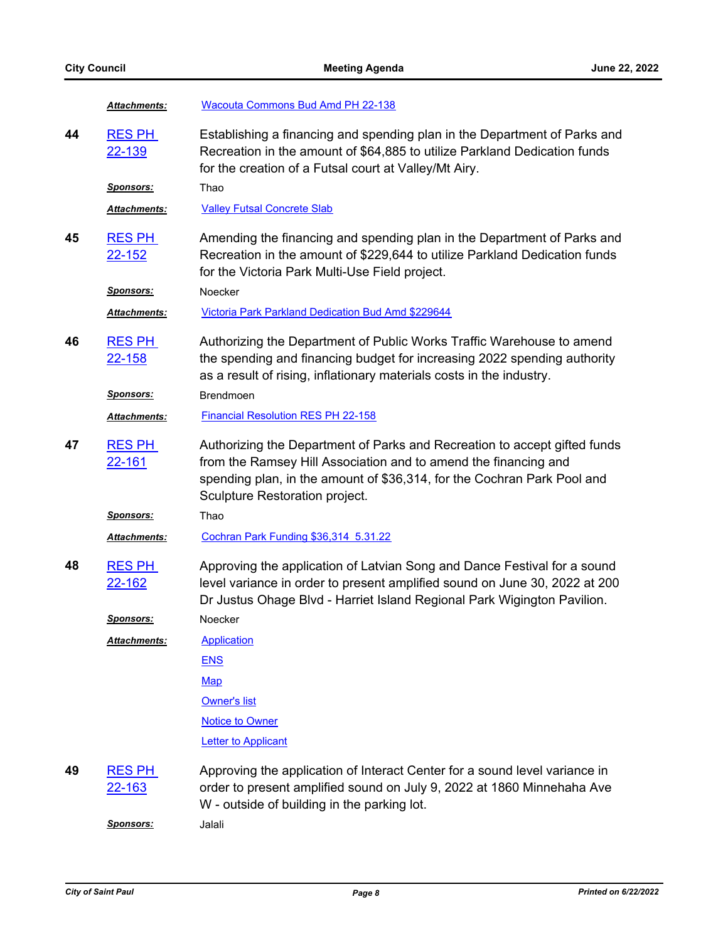|    | Attachments:                   | <b>Wacouta Commons Bud Amd PH 22-138</b>                                                                                                                                                                                                                  |
|----|--------------------------------|-----------------------------------------------------------------------------------------------------------------------------------------------------------------------------------------------------------------------------------------------------------|
| 44 | <b>RES PH</b><br>22-139        | Establishing a financing and spending plan in the Department of Parks and<br>Recreation in the amount of \$64,885 to utilize Parkland Dedication funds<br>for the creation of a Futsal court at Valley/Mt Airy.                                           |
|    | <u>Sponsors:</u>               | Thao                                                                                                                                                                                                                                                      |
|    | Attachments:                   | <b>Valley Futsal Concrete Slab</b>                                                                                                                                                                                                                        |
| 45 | <b>RES PH</b><br><u>22-152</u> | Amending the financing and spending plan in the Department of Parks and<br>Recreation in the amount of \$229,644 to utilize Parkland Dedication funds<br>for the Victoria Park Multi-Use Field project.                                                   |
|    | <u>Sponsors:</u>               | Noecker                                                                                                                                                                                                                                                   |
|    | Attachments:                   | Victoria Park Parkland Dedication Bud Amd \$229644                                                                                                                                                                                                        |
| 46 | <b>RES PH</b><br>22-158        | Authorizing the Department of Public Works Traffic Warehouse to amend<br>the spending and financing budget for increasing 2022 spending authority<br>as a result of rising, inflationary materials costs in the industry.                                 |
|    | <b>Sponsors:</b>               | Brendmoen                                                                                                                                                                                                                                                 |
|    | Attachments:                   | <b>Financial Resolution RES PH 22-158</b>                                                                                                                                                                                                                 |
| 47 | <b>RES PH</b><br><u>22-161</u> | Authorizing the Department of Parks and Recreation to accept gifted funds<br>from the Ramsey Hill Association and to amend the financing and<br>spending plan, in the amount of \$36,314, for the Cochran Park Pool and<br>Sculpture Restoration project. |
|    | <u>Sponsors:</u>               | Thao                                                                                                                                                                                                                                                      |
|    | Attachments:                   | Cochran Park Funding \$36,314 5.31.22                                                                                                                                                                                                                     |
| 48 | <b>RES PH</b><br><u>22-162</u> | Approving the application of Latvian Song and Dance Festival for a sound<br>level variance in order to present amplified sound on June 30, 2022 at 200<br>Dr Justus Ohage Blvd - Harriet Island Regional Park Wigington Pavilion.                         |
|    | <u>Sponsors:</u>               | Noecker                                                                                                                                                                                                                                                   |
|    | <b>Attachments:</b>            | <b>Application</b>                                                                                                                                                                                                                                        |
|    |                                | <b>ENS</b>                                                                                                                                                                                                                                                |
|    |                                | <b>Map</b>                                                                                                                                                                                                                                                |
|    |                                | Owner's list                                                                                                                                                                                                                                              |
|    |                                | <b>Notice to Owner</b>                                                                                                                                                                                                                                    |
|    |                                | <b>Letter to Applicant</b>                                                                                                                                                                                                                                |
| 49 | <b>RES PH</b><br>22-163        | Approving the application of Interact Center for a sound level variance in<br>order to present amplified sound on July 9, 2022 at 1860 Minnehaha Ave<br>W - outside of building in the parking lot.                                                       |
|    | <u>Sponsors:</u>               | Jalali                                                                                                                                                                                                                                                    |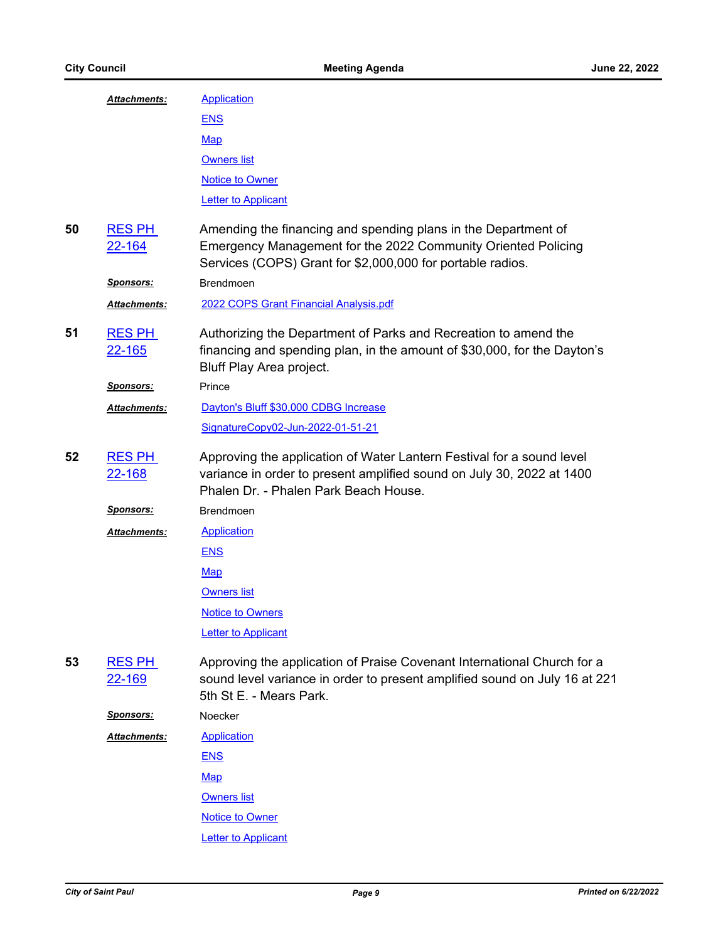|    | Attachments:                   | <b>Application</b>                                                                                                                                                                            |
|----|--------------------------------|-----------------------------------------------------------------------------------------------------------------------------------------------------------------------------------------------|
|    |                                | <b>ENS</b>                                                                                                                                                                                    |
|    |                                | <u>Map</u>                                                                                                                                                                                    |
|    |                                | <b>Owners list</b>                                                                                                                                                                            |
|    |                                | <b>Notice to Owner</b>                                                                                                                                                                        |
|    |                                | <b>Letter to Applicant</b>                                                                                                                                                                    |
| 50 | <b>RES PH</b><br><u>22-164</u> | Amending the financing and spending plans in the Department of<br>Emergency Management for the 2022 Community Oriented Policing<br>Services (COPS) Grant for \$2,000,000 for portable radios. |
|    | <u>Sponsors:</u>               | <b>Brendmoen</b>                                                                                                                                                                              |
|    | Attachments:                   | 2022 COPS Grant Financial Analysis.pdf                                                                                                                                                        |
| 51 | <b>RES PH</b><br>22-165        | Authorizing the Department of Parks and Recreation to amend the<br>financing and spending plan, in the amount of \$30,000, for the Dayton's<br>Bluff Play Area project.                       |
|    | <u>Sponsors:</u>               | Prince                                                                                                                                                                                        |
|    | Attachments:                   | Dayton's Bluff \$30,000 CDBG Increase                                                                                                                                                         |
|    |                                | SignatureCopy02-Jun-2022-01-51-21                                                                                                                                                             |
| 52 | <b>RES PH</b><br>22-168        | Approving the application of Water Lantern Festival for a sound level<br>variance in order to present amplified sound on July 30, 2022 at 1400<br>Phalen Dr. - Phalen Park Beach House.       |
|    | <u>Sponsors:</u>               | <b>Brendmoen</b>                                                                                                                                                                              |
|    | Attachments:                   | <b>Application</b>                                                                                                                                                                            |
|    |                                | <b>ENS</b>                                                                                                                                                                                    |
|    |                                | Map                                                                                                                                                                                           |
|    |                                | <b>Owners list</b>                                                                                                                                                                            |
|    |                                | <b>Notice to Owners</b>                                                                                                                                                                       |
|    |                                | <b>Letter to Applicant</b>                                                                                                                                                                    |
| 53 | <b>RES PH</b><br>22-169        | Approving the application of Praise Covenant International Church for a<br>sound level variance in order to present amplified sound on July 16 at 221<br>5th St E. - Mears Park.              |
|    | <b>Sponsors:</b>               | Noecker                                                                                                                                                                                       |
|    | Attachments:                   | <b>Application</b>                                                                                                                                                                            |
|    |                                | <b>ENS</b>                                                                                                                                                                                    |
|    |                                | Map                                                                                                                                                                                           |
|    |                                | <b>Owners list</b>                                                                                                                                                                            |
|    |                                | <b>Notice to Owner</b>                                                                                                                                                                        |
|    |                                | <b>Letter to Applicant</b>                                                                                                                                                                    |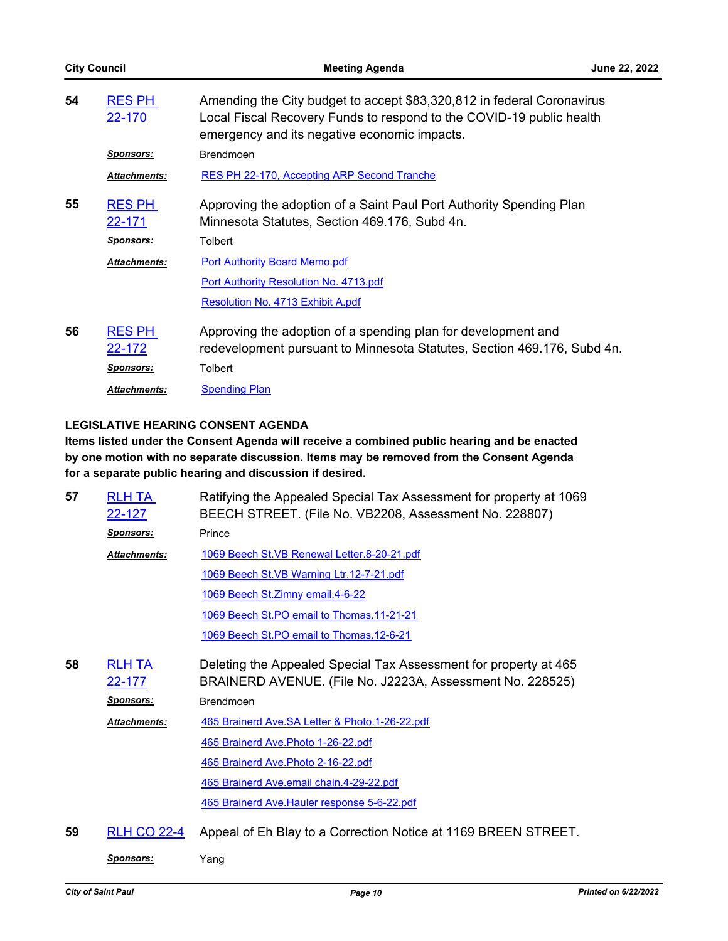|    | <b>City Council</b>     | <b>Meeting Agenda</b>                                                                                                                                                                          | June 22, 2022 |
|----|-------------------------|------------------------------------------------------------------------------------------------------------------------------------------------------------------------------------------------|---------------|
| 54 | <b>RES PH</b><br>22-170 | Amending the City budget to accept \$83,320,812 in federal Coronavirus<br>Local Fiscal Recovery Funds to respond to the COVID-19 public health<br>emergency and its negative economic impacts. |               |
|    | <u>Sponsors:</u>        | Brendmoen                                                                                                                                                                                      |               |
|    | Attachments:            | RES PH 22-170, Accepting ARP Second Tranche                                                                                                                                                    |               |
| 55 | <b>RES PH</b><br>22-171 | Approving the adoption of a Saint Paul Port Authority Spending Plan<br>Minnesota Statutes, Section 469.176, Subd 4n.                                                                           |               |
|    | <b>Sponsors:</b>        | <b>Tolbert</b>                                                                                                                                                                                 |               |
|    | <b>Attachments:</b>     | <b>Port Authority Board Memo.pdf</b>                                                                                                                                                           |               |
|    |                         | Port Authority Resolution No. 4713.pdf                                                                                                                                                         |               |
|    |                         | Resolution No. 4713 Exhibit A.pdf                                                                                                                                                              |               |
| 56 | <b>RES PH</b><br>22-172 | Approving the adoption of a spending plan for development and<br>redevelopment pursuant to Minnesota Statutes, Section 469.176, Subd 4n.                                                       |               |
|    | <u>Sponsors:</u>        | Tolbert                                                                                                                                                                                        |               |
|    | <b>Attachments:</b>     | <b>Spending Plan</b>                                                                                                                                                                           |               |

# **LEGISLATIVE HEARING CONSENT AGENDA**

**Items listed under the Consent Agenda will receive a combined public hearing and be enacted by one motion with no separate discussion. Items may be removed from the Consent Agenda for a separate public hearing and discussion if desired.**

| 57 | <b>RLH TA</b><br><u>22-127</u> | Ratifying the Appealed Special Tax Assessment for property at 1069<br>BEECH STREET. (File No. VB2208, Assessment No. 228807)  |
|----|--------------------------------|-------------------------------------------------------------------------------------------------------------------------------|
|    | <b>Sponsors:</b>               | Prince                                                                                                                        |
|    | <b>Attachments:</b>            | 1069 Beech St.VB Renewal Letter.8-20-21.pdf                                                                                   |
|    |                                | 1069 Beech St.VB Warning Ltr.12-7-21.pdf                                                                                      |
|    |                                | 1069 Beech St.Zimny email.4-6-22                                                                                              |
|    |                                | 1069 Beech St.PO email to Thomas.11-21-21                                                                                     |
|    |                                | 1069 Beech St.PO email to Thomas.12-6-21                                                                                      |
| 58 | RLH TA<br><u>22-177</u>        | Deleting the Appealed Special Tax Assessment for property at 465<br>BRAINERD AVENUE. (File No. J2223A, Assessment No. 228525) |
|    | <b>Sponsors:</b>               | Brendmoen                                                                                                                     |
|    | <b>Attachments:</b>            | 465 Brainerd Ave.SA Letter & Photo.1-26-22.pdf                                                                                |
|    |                                | 465 Brainerd Ave. Photo 1-26-22.pdf                                                                                           |
|    |                                | 465 Brainerd Ave. Photo 2-16-22.pdf                                                                                           |
|    |                                | 465 Brainerd Ave.email chain.4-29-22.pdf                                                                                      |
|    |                                | 465 Brainerd Ave. Hauler response 5-6-22.pdf                                                                                  |
| 59 | <b>RLH CO 22-4</b>             | Appeal of Eh Blay to a Correction Notice at 1169 BREEN STREET.                                                                |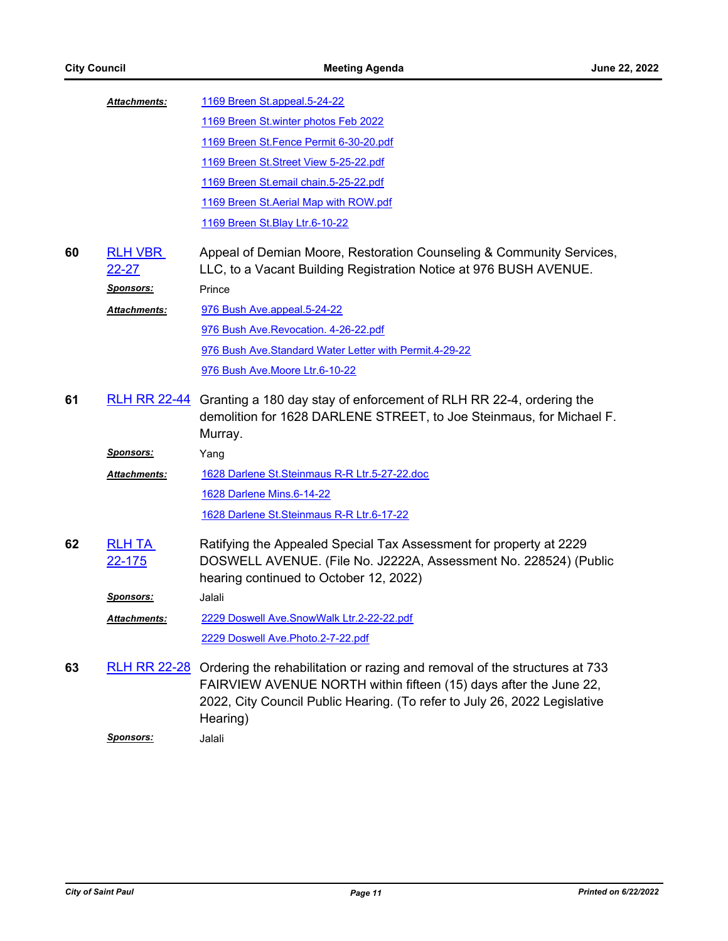|    | <b>Attachments:</b>            | 1169 Breen St.appeal.5-24-22                                                                                                                                                                                                             |
|----|--------------------------------|------------------------------------------------------------------------------------------------------------------------------------------------------------------------------------------------------------------------------------------|
|    |                                | 1169 Breen St. winter photos Feb 2022                                                                                                                                                                                                    |
|    |                                | 1169 Breen St. Fence Permit 6-30-20.pdf                                                                                                                                                                                                  |
|    |                                | 1169 Breen St. Street View 5-25-22.pdf                                                                                                                                                                                                   |
|    |                                | 1169 Breen St.email chain.5-25-22.pdf                                                                                                                                                                                                    |
|    |                                | 1169 Breen St. Aerial Map with ROW.pdf                                                                                                                                                                                                   |
|    |                                | 1169 Breen St. Blay Ltr. 6-10-22                                                                                                                                                                                                         |
|    |                                |                                                                                                                                                                                                                                          |
| 60 | <b>RLH VBR</b><br>$22 - 27$    | Appeal of Demian Moore, Restoration Counseling & Community Services,<br>LLC, to a Vacant Building Registration Notice at 976 BUSH AVENUE.                                                                                                |
|    | <b>Sponsors:</b>               | Prince                                                                                                                                                                                                                                   |
|    | <b>Attachments:</b>            | 976 Bush Ave.appeal.5-24-22                                                                                                                                                                                                              |
|    |                                | 976 Bush Ave.Revocation. 4-26-22.pdf                                                                                                                                                                                                     |
|    |                                | 976 Bush Ave.Standard Water Letter with Permit.4-29-22                                                                                                                                                                                   |
|    |                                | 976 Bush Ave.Moore Ltr.6-10-22                                                                                                                                                                                                           |
| 61 | <b>RLH RR 22-44</b>            | Granting a 180 day stay of enforcement of RLH RR 22-4, ordering the<br>demolition for 1628 DARLENE STREET, to Joe Steinmaus, for Michael F.<br>Murray.                                                                                   |
|    | <u>Sponsors:</u>               | Yang                                                                                                                                                                                                                                     |
|    | Attachments:                   | 1628 Darlene St. Steinmaus R-R Ltr. 5-27-22. doc                                                                                                                                                                                         |
|    |                                | 1628 Darlene Mins.6-14-22                                                                                                                                                                                                                |
|    |                                | 1628 Darlene St. Steinmaus R-R Ltr. 6-17-22                                                                                                                                                                                              |
| 62 | <b>RLH TA</b><br><u>22-175</u> | Ratifying the Appealed Special Tax Assessment for property at 2229<br>DOSWELL AVENUE. (File No. J2222A, Assessment No. 228524) (Public<br>hearing continued to October 12, 2022)                                                         |
|    | <u>Sponsors:</u>               | Jalali                                                                                                                                                                                                                                   |
|    | <b>Attachments:</b>            | 2229 Doswell Ave.SnowWalk Ltr.2-22-22.pdf                                                                                                                                                                                                |
|    |                                | 2229 Doswell Ave. Photo. 2-7-22.pdf                                                                                                                                                                                                      |
| 63 | <u>RLH RR 22-28</u>            | Ordering the rehabilitation or razing and removal of the structures at 733<br>FAIRVIEW AVENUE NORTH within fifteen (15) days after the June 22,<br>2022, City Council Public Hearing. (To refer to July 26, 2022 Legislative<br>Hearing) |

*Sponsors:* Jalali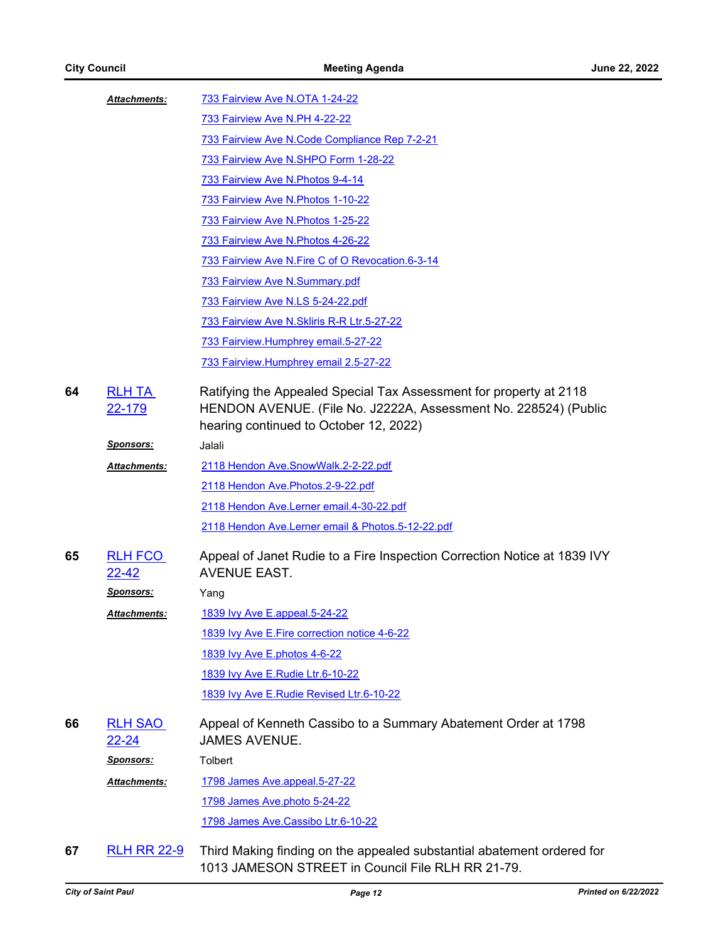|    | Attachments:                   | <b>733 Fairview Ave N.OTA 1-24-22</b>                                                                                                                                           |
|----|--------------------------------|---------------------------------------------------------------------------------------------------------------------------------------------------------------------------------|
|    |                                | 733 Fairview Ave N.PH 4-22-22                                                                                                                                                   |
|    |                                | 733 Fairview Ave N.Code Compliance Rep 7-2-21                                                                                                                                   |
|    |                                | 733 Fairview Ave N.SHPO Form 1-28-22                                                                                                                                            |
|    |                                | 733 Fairview Ave N. Photos 9-4-14                                                                                                                                               |
|    |                                | 733 Fairview Ave N. Photos 1-10-22                                                                                                                                              |
|    |                                | 733 Fairview Ave N.Photos 1-25-22                                                                                                                                               |
|    |                                | 733 Fairview Ave N. Photos 4-26-22                                                                                                                                              |
|    |                                | 733 Fairview Ave N. Fire C of O Revocation. 6-3-14                                                                                                                              |
|    |                                | 733 Fairview Ave N.Summary.pdf                                                                                                                                                  |
|    |                                | 733 Fairview Ave N.LS 5-24-22.pdf                                                                                                                                               |
|    |                                | 733 Fairview Ave N. Skliris R-R Ltr. 5-27-22                                                                                                                                    |
|    |                                | 733 Fairview.Humphrey email.5-27-22                                                                                                                                             |
|    |                                | 733 Fairview.Humphrey email 2.5-27-22                                                                                                                                           |
| 64 | <b>RLH TA</b><br><u>22-179</u> | Ratifying the Appealed Special Tax Assessment for property at 2118<br>HENDON AVENUE. (File No. J2222A, Assessment No. 228524) (Public<br>hearing continued to October 12, 2022) |
|    | <b>Sponsors:</b>               | Jalali                                                                                                                                                                          |
|    | <b>Attachments:</b>            | 2118 Hendon Ave.SnowWalk.2-2-22.pdf                                                                                                                                             |
|    |                                | 2118 Hendon Ave. Photos. 2-9-22.pdf                                                                                                                                             |
|    |                                | 2118 Hendon Ave.Lerner email.4-30-22.pdf                                                                                                                                        |
|    |                                | 2118 Hendon Ave.Lerner email & Photos.5-12-22.pdf                                                                                                                               |
| 65 | <b>RLH FCO</b><br>$22 - 42$    | Appeal of Janet Rudie to a Fire Inspection Correction Notice at 1839 IVY<br><b>AVENUE EAST.</b>                                                                                 |
|    | <u>Sponsors:</u>               | Yang                                                                                                                                                                            |
|    | <b>Attachments:</b>            | 1839 Ivy Ave E.appeal.5-24-22                                                                                                                                                   |
|    |                                | 1839 Ivy Ave E. Fire correction notice 4-6-22                                                                                                                                   |
|    |                                | 1839 Ivy Ave E.photos 4-6-22                                                                                                                                                    |
|    |                                | 1839 Ivy Ave E.Rudie Ltr.6-10-22                                                                                                                                                |
|    |                                | 1839 Ivy Ave E.Rudie Revised Ltr.6-10-22                                                                                                                                        |
| 66 | <b>RLH SAO</b><br><u>22-24</u> | Appeal of Kenneth Cassibo to a Summary Abatement Order at 1798<br><b>JAMES AVENUE.</b>                                                                                          |
|    | Sponsors:                      | Tolbert                                                                                                                                                                         |
|    | Attachments:                   | 1798 James Ave.appeal.5-27-22                                                                                                                                                   |
|    |                                | 1798 James Ave.photo 5-24-22                                                                                                                                                    |
|    |                                | 1798 James Ave.Cassibo Ltr.6-10-22                                                                                                                                              |
| 67 | <b>RLH RR 22-9</b>             | Third Making finding on the appealed substantial abatement ordered for                                                                                                          |

1013 JAMESON STREET in Council File RLH RR 21-79.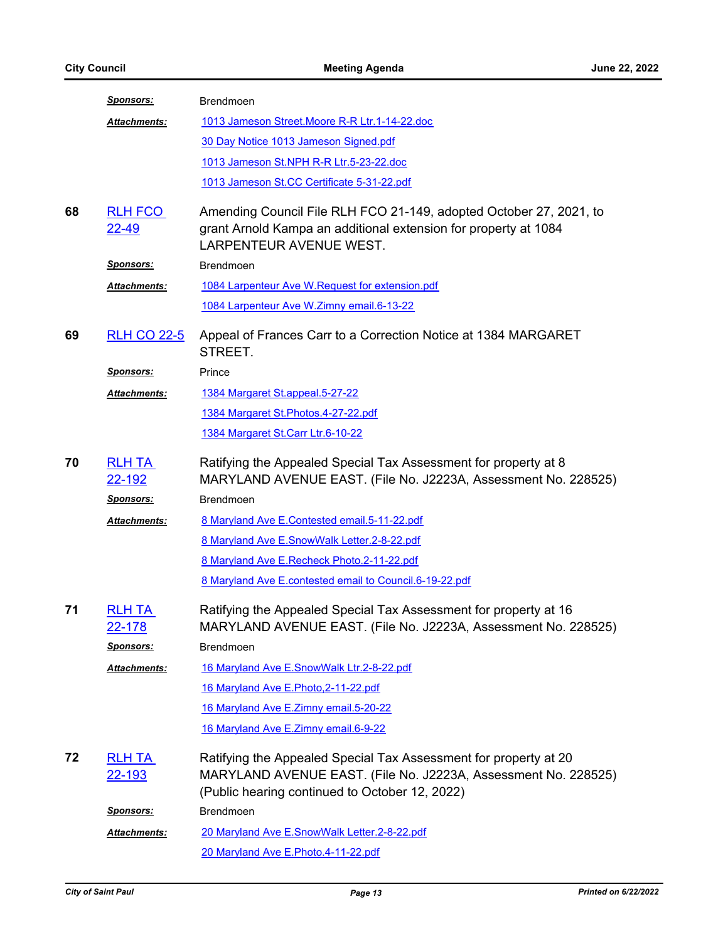|    | <u>Sponsors:</u>               | Brendmoen                                                                                                                                                                            |
|----|--------------------------------|--------------------------------------------------------------------------------------------------------------------------------------------------------------------------------------|
|    | <b>Attachments:</b>            | 1013 Jameson Street. Moore R-R Ltr. 1-14-22.doc                                                                                                                                      |
|    |                                | 30 Day Notice 1013 Jameson Signed.pdf                                                                                                                                                |
|    |                                | 1013 Jameson St.NPH R-R Ltr.5-23-22.doc                                                                                                                                              |
|    |                                | 1013 Jameson St.CC Certificate 5-31-22.pdf                                                                                                                                           |
| 68 | <b>RLH FCO</b><br>22-49        | Amending Council File RLH FCO 21-149, adopted October 27, 2021, to<br>grant Arnold Kampa an additional extension for property at 1084<br>LARPENTEUR AVENUE WEST.                     |
|    | <u>Sponsors:</u>               | Brendmoen                                                                                                                                                                            |
|    | Attachments:                   | 1084 Larpenteur Ave W. Request for extension.pdf                                                                                                                                     |
|    |                                | 1084 Larpenteur Ave W.Zimny email.6-13-22                                                                                                                                            |
| 69 | <b>RLH CO 22-5</b>             | Appeal of Frances Carr to a Correction Notice at 1384 MARGARET<br>STREET.                                                                                                            |
|    | <u>Sponsors:</u>               | Prince                                                                                                                                                                               |
|    | Attachments:                   | 1384 Margaret St.appeal.5-27-22                                                                                                                                                      |
|    |                                | 1384 Margaret St. Photos. 4-27-22.pdf                                                                                                                                                |
|    |                                | 1384 Margaret St. Carr Ltr. 6-10-22                                                                                                                                                  |
| 70 | <b>RLH TA</b><br><u>22-192</u> | Ratifying the Appealed Special Tax Assessment for property at 8<br>MARYLAND AVENUE EAST. (File No. J2223A, Assessment No. 228525)                                                    |
|    | <u>Sponsors:</u>               | <b>Brendmoen</b>                                                                                                                                                                     |
|    | Attachments:                   | 8 Maryland Ave E.Contested email.5-11-22.pdf                                                                                                                                         |
|    |                                | 8 Maryland Ave E.SnowWalk Letter.2-8-22.pdf                                                                                                                                          |
|    |                                | 8 Maryland Ave E.Recheck Photo.2-11-22.pdf                                                                                                                                           |
|    |                                | 8 Maryland Ave E.contested email to Council.6-19-22.pdf                                                                                                                              |
| 71 | <b>RLH TA</b><br>22-178        | Ratifying the Appealed Special Tax Assessment for property at 16<br>MARYLAND AVENUE EAST. (File No. J2223A, Assessment No. 228525)                                                   |
|    | <u>Sponsors:</u>               | <b>Brendmoen</b>                                                                                                                                                                     |
|    | Attachments:                   | 16 Maryland Ave E.SnowWalk Ltr.2-8-22.pdf                                                                                                                                            |
|    |                                | 16 Maryland Ave E.Photo, 2-11-22.pdf                                                                                                                                                 |
|    |                                | 16 Maryland Ave E.Zimny email.5-20-22                                                                                                                                                |
|    |                                | 16 Maryland Ave E.Zimny email.6-9-22                                                                                                                                                 |
| 72 | <u>RLH TA</u><br><u>22-193</u> | Ratifying the Appealed Special Tax Assessment for property at 20<br>MARYLAND AVENUE EAST. (File No. J2223A, Assessment No. 228525)<br>(Public hearing continued to October 12, 2022) |
|    | <u>Sponsors:</u>               | <b>Brendmoen</b>                                                                                                                                                                     |
|    | Attachments:                   | 20 Maryland Ave E.SnowWalk Letter.2-8-22.pdf<br>20 Maryland Ave E.Photo.4-11-22.pdf                                                                                                  |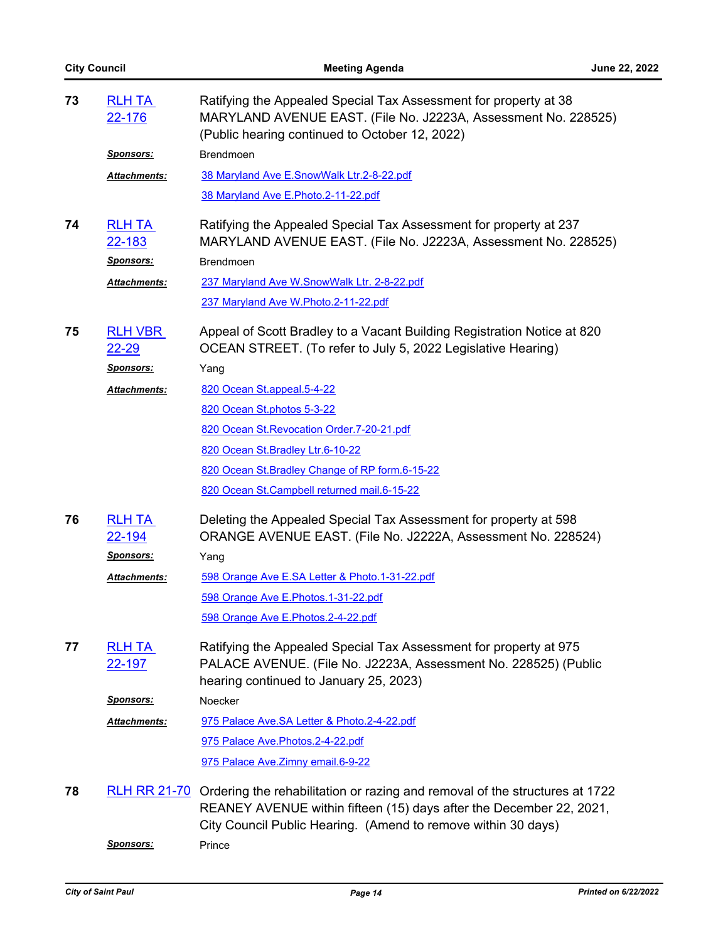| 73 | <b>RLH TA</b><br><u>22-176</u> | Ratifying the Appealed Special Tax Assessment for property at 38<br>MARYLAND AVENUE EAST. (File No. J2223A, Assessment No. 228525)<br>(Public hearing continued to October 12, 2022)                                             |
|----|--------------------------------|----------------------------------------------------------------------------------------------------------------------------------------------------------------------------------------------------------------------------------|
|    | <b>Sponsors:</b>               | <b>Brendmoen</b>                                                                                                                                                                                                                 |
|    | Attachments:                   | 38 Maryland Ave E.SnowWalk Ltr.2-8-22.pdf                                                                                                                                                                                        |
|    |                                | 38 Maryland Ave E.Photo.2-11-22.pdf                                                                                                                                                                                              |
| 74 | <b>RLH TA</b><br>22-183        | Ratifying the Appealed Special Tax Assessment for property at 237<br>MARYLAND AVENUE EAST. (File No. J2223A, Assessment No. 228525)                                                                                              |
|    | <u>Sponsors:</u>               | Brendmoen                                                                                                                                                                                                                        |
|    | <b>Attachments:</b>            | 237 Maryland Ave W.SnowWalk Ltr. 2-8-22.pdf                                                                                                                                                                                      |
|    |                                | 237 Maryland Ave W. Photo. 2-11-22.pdf                                                                                                                                                                                           |
| 75 | <b>RLH VBR</b><br>22-29        | Appeal of Scott Bradley to a Vacant Building Registration Notice at 820<br>OCEAN STREET. (To refer to July 5, 2022 Legislative Hearing)                                                                                          |
|    | <u>Sponsors:</u>               | Yang                                                                                                                                                                                                                             |
|    | Attachments:                   | 820 Ocean St.appeal.5-4-22                                                                                                                                                                                                       |
|    |                                | 820 Ocean St.photos 5-3-22                                                                                                                                                                                                       |
|    |                                | 820 Ocean St. Revocation Order. 7-20-21.pdf                                                                                                                                                                                      |
|    |                                | 820 Ocean St. Bradley Ltr. 6-10-22                                                                                                                                                                                               |
|    |                                | 820 Ocean St. Bradley Change of RP form.6-15-22                                                                                                                                                                                  |
|    |                                | 820 Ocean St.Campbell returned mail.6-15-22                                                                                                                                                                                      |
| 76 | <b>RLH TA</b><br><u>22-194</u> | Deleting the Appealed Special Tax Assessment for property at 598<br>ORANGE AVENUE EAST. (File No. J2222A, Assessment No. 228524)                                                                                                 |
|    | <u>Sponsors:</u>               | Yang                                                                                                                                                                                                                             |
|    | Attachments:                   | 598 Orange Ave E.SA Letter & Photo.1-31-22.pdf                                                                                                                                                                                   |
|    |                                | 598 Orange Ave E. Photos. 1-31-22.pdf                                                                                                                                                                                            |
|    |                                | 598 Orange Ave E. Photos. 2-4-22.pdf                                                                                                                                                                                             |
| 77 | RLH TA<br>22-197               | Ratifying the Appealed Special Tax Assessment for property at 975<br>PALACE AVENUE. (File No. J2223A, Assessment No. 228525) (Public<br>hearing continued to January 25, 2023)                                                   |
|    | <u>Sponsors:</u>               | Noecker                                                                                                                                                                                                                          |
|    | Attachments:                   | 975 Palace Ave.SA Letter & Photo.2-4-22.pdf                                                                                                                                                                                      |
|    |                                | 975 Palace Ave. Photos. 2-4-22.pdf                                                                                                                                                                                               |
|    |                                | 975 Palace Ave. Zimny email. 6-9-22                                                                                                                                                                                              |
| 78 |                                | RLH RR 21-70 Ordering the rehabilitation or razing and removal of the structures at 1722<br>REANEY AVENUE within fifteen (15) days after the December 22, 2021,<br>City Council Public Hearing. (Amend to remove within 30 days) |
|    | Sponsors:                      | Prince                                                                                                                                                                                                                           |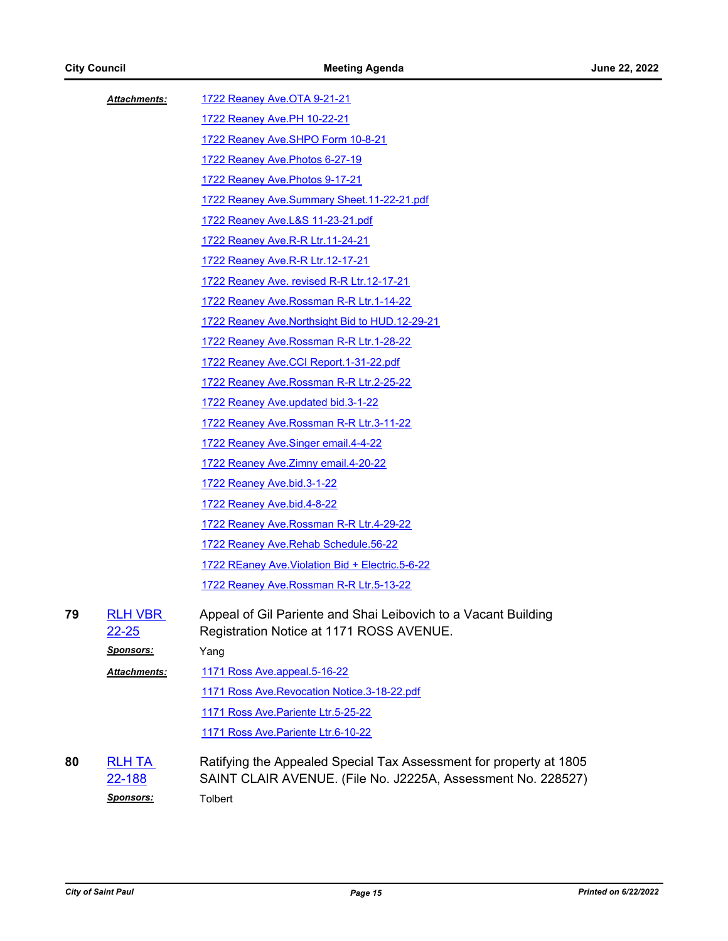|    | <u> Attachments:</u>           | 1722 Reaney Ave. OTA 9-21-21                                                                                                       |
|----|--------------------------------|------------------------------------------------------------------------------------------------------------------------------------|
|    |                                | 1722 Reaney Ave. PH 10-22-21                                                                                                       |
|    |                                | 1722 Reaney Ave.SHPO Form 10-8-21                                                                                                  |
|    |                                | 1722 Reaney Ave. Photos 6-27-19                                                                                                    |
|    |                                | 1722 Reaney Ave. Photos 9-17-21                                                                                                    |
|    |                                | 1722 Reaney Ave.Summary Sheet.11-22-21.pdf                                                                                         |
|    |                                | 1722 Reaney Ave. L&S 11-23-21.pdf                                                                                                  |
|    |                                | 1722 Reaney Ave.R-R Ltr.11-24-21                                                                                                   |
|    |                                | 1722 Reaney Ave.R-R Ltr.12-17-21                                                                                                   |
|    |                                | 1722 Reaney Ave. revised R-R Ltr.12-17-21                                                                                          |
|    |                                | 1722 Reaney Ave.Rossman R-R Ltr.1-14-22                                                                                            |
|    |                                | 1722 Reaney Ave. Northsight Bid to HUD. 12-29-21                                                                                   |
|    |                                | 1722 Reaney Ave. Rossman R-R Ltr. 1-28-22                                                                                          |
|    |                                | 1722 Reaney Ave.CCI Report.1-31-22.pdf                                                                                             |
|    |                                | 1722 Reaney Ave. Rossman R-R Ltr.2-25-22                                                                                           |
|    |                                | 1722 Reaney Ave.updated bid.3-1-22                                                                                                 |
|    |                                | 1722 Reaney Ave. Rossman R-R Ltr. 3-11-22                                                                                          |
|    |                                | 1722 Reaney Ave.Singer email.4-4-22                                                                                                |
|    |                                | 1722 Reaney Ave. Zimny email. 4-20-22                                                                                              |
|    |                                | 1722 Reaney Ave.bid.3-1-22                                                                                                         |
|    |                                | 1722 Reaney Ave.bid.4-8-22                                                                                                         |
|    |                                | 1722 Reaney Ave.Rossman R-R Ltr.4-29-22                                                                                            |
|    |                                | 1722 Reaney Ave. Rehab Schedule. 56-22                                                                                             |
|    |                                | 1722 REaney Ave. Violation Bid + Electric. 5-6-22                                                                                  |
|    |                                | 1722 Reaney Ave. Rossman R-R Ltr. 5-13-22                                                                                          |
| 79 | <b>RLH VBR</b><br><u>22-25</u> | Appeal of Gil Pariente and Shai Leibovich to a Vacant Building<br>Registration Notice at 1171 ROSS AVENUE.                         |
|    | <b>Sponsors:</b>               | Yang                                                                                                                               |
|    | Attachments:                   | 1171 Ross Ave.appeal.5-16-22                                                                                                       |
|    |                                | 1171 Ross Ave. Revocation Notice. 3-18-22.pdf                                                                                      |
|    |                                | 1171 Ross Ave. Pariente Ltr. 5-25-22                                                                                               |
|    |                                | 1171 Ross Ave. Pariente Ltr. 6-10-22                                                                                               |
| 80 | <b>RLH TA</b><br><u>22-188</u> | Ratifying the Appealed Special Tax Assessment for property at 1805<br>SAINT CLAIR AVENUE. (File No. J2225A, Assessment No. 228527) |
|    | <u>Sponsors:</u>               | Tolbert                                                                                                                            |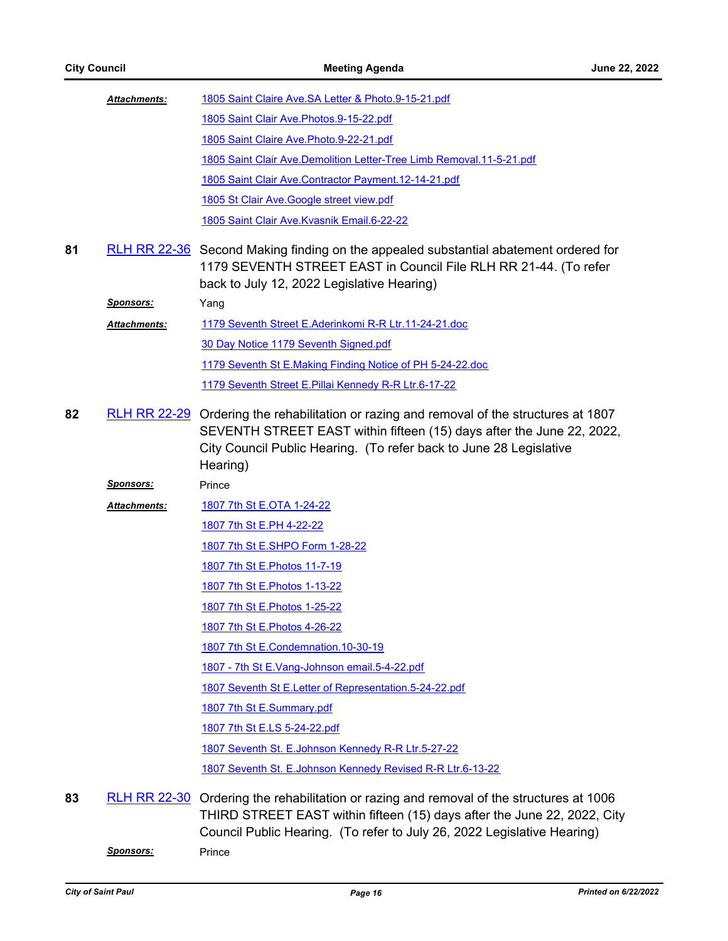|    | <b>Attachments:</b> | 1805 Saint Claire Ave. SA Letter & Photo. 9-15-21.pdf                                                                                                                                                                                               |
|----|---------------------|-----------------------------------------------------------------------------------------------------------------------------------------------------------------------------------------------------------------------------------------------------|
|    |                     | 1805 Saint Clair Ave. Photos. 9-15-22.pdf                                                                                                                                                                                                           |
|    |                     | 1805 Saint Claire Ave. Photo. 9-22-21.pdf                                                                                                                                                                                                           |
|    |                     | 1805 Saint Clair Ave.Demolition Letter-Tree Limb Removal.11-5-21.pdf                                                                                                                                                                                |
|    |                     | 1805 Saint Clair Ave. Contractor Payment. 12-14-21.pdf                                                                                                                                                                                              |
|    |                     | 1805 St Clair Ave. Google street view.pdf                                                                                                                                                                                                           |
|    |                     | 1805 Saint Clair Ave.Kvasnik Email.6-22-22                                                                                                                                                                                                          |
| 81 |                     | RLH RR 22-36 Second Making finding on the appealed substantial abatement ordered for<br>1179 SEVENTH STREET EAST in Council File RLH RR 21-44. (To refer<br>back to July 12, 2022 Legislative Hearing)                                              |
|    | <u>Sponsors:</u>    | Yang                                                                                                                                                                                                                                                |
|    | <b>Attachments:</b> | 1179 Seventh Street E.Aderinkomi R-R Ltr.11-24-21.doc                                                                                                                                                                                               |
|    |                     | 30 Day Notice 1179 Seventh Signed.pdf                                                                                                                                                                                                               |
|    |                     | 1179 Seventh St E.Making Finding Notice of PH 5-24-22.doc                                                                                                                                                                                           |
|    |                     | 1179 Seventh Street E. Pillai Kennedy R-R Ltr.6-17-22                                                                                                                                                                                               |
| 82 |                     | RLH RR 22-29 Ordering the rehabilitation or razing and removal of the structures at 1807<br>SEVENTH STREET EAST within fifteen (15) days after the June 22, 2022,<br>City Council Public Hearing. (To refer back to June 28 Legislative<br>Hearing) |
|    | <u>Sponsors:</u>    | Prince                                                                                                                                                                                                                                              |
|    | <b>Attachments:</b> | 1807 7th St E.OTA 1-24-22                                                                                                                                                                                                                           |
|    |                     |                                                                                                                                                                                                                                                     |
|    |                     | 1807 7th St E.PH 4-22-22                                                                                                                                                                                                                            |
|    |                     | 1807 7th St E.SHPO Form 1-28-22                                                                                                                                                                                                                     |
|    |                     | 1807 7th St E. Photos 11-7-19                                                                                                                                                                                                                       |
|    |                     | 1807 7th St E. Photos 1-13-22                                                                                                                                                                                                                       |
|    |                     | 1807 7th St E. Photos 1-25-22                                                                                                                                                                                                                       |
|    |                     | 1807 7th St E.Photos 4-26-22                                                                                                                                                                                                                        |
|    |                     | 1807 7th St E.Condemnation. 10-30-19                                                                                                                                                                                                                |
|    |                     | 1807 - 7th St E.Vang-Johnson email.5-4-22.pdf                                                                                                                                                                                                       |
|    |                     | 1807 Seventh St E.Letter of Representation.5-24-22.pdf                                                                                                                                                                                              |
|    |                     | 1807 7th St E.Summary.pdf                                                                                                                                                                                                                           |
|    |                     | 1807 7th St E.LS 5-24-22.pdf                                                                                                                                                                                                                        |
|    |                     | 1807 Seventh St. E.Johnson Kennedy R-R Ltr.5-27-22                                                                                                                                                                                                  |
|    |                     | 1807 Seventh St. E.Johnson Kennedy Revised R-R Ltr.6-13-22                                                                                                                                                                                          |
| 83 |                     | RLH RR 22-30 Ordering the rehabilitation or razing and removal of the structures at 1006<br>THIRD STREET EAST within fifteen (15) days after the June 22, 2022, City<br>Council Public Hearing. (To refer to July 26, 2022 Legislative Hearing)     |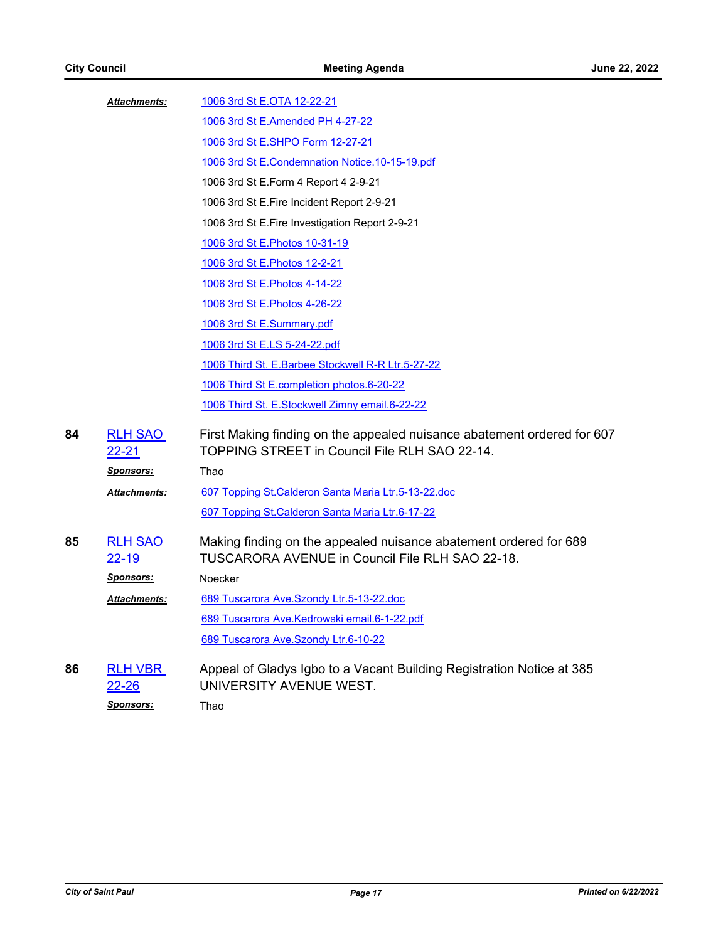|    | <u> Attachments:</u>           | 1006 3rd St E.OTA 12-22-21                                                                                               |
|----|--------------------------------|--------------------------------------------------------------------------------------------------------------------------|
|    |                                | 1006 3rd St E.Amended PH 4-27-22                                                                                         |
|    |                                | 1006 3rd St E.SHPO Form 12-27-21                                                                                         |
|    |                                | 1006 3rd St E.Condemnation Notice.10-15-19.pdf                                                                           |
|    |                                | 1006 3rd St E.Form 4 Report 4 2-9-21                                                                                     |
|    |                                | 1006 3rd St E.Fire Incident Report 2-9-21                                                                                |
|    |                                | 1006 3rd St E. Fire Investigation Report 2-9-21                                                                          |
|    |                                | 1006 3rd St E. Photos 10-31-19                                                                                           |
|    |                                | 1006 3rd St E. Photos 12-2-21                                                                                            |
|    |                                | 1006 3rd St E. Photos 4-14-22                                                                                            |
|    |                                | 1006 3rd St E. Photos 4-26-22                                                                                            |
|    |                                | 1006 3rd St E.Summary.pdf                                                                                                |
|    |                                | 1006 3rd St E.LS 5-24-22.pdf                                                                                             |
|    |                                | 1006 Third St. E.Barbee Stockwell R-R Ltr.5-27-22                                                                        |
|    |                                | 1006 Third St E.completion photos.6-20-22                                                                                |
|    |                                | 1006 Third St. E.Stockwell Zimny email.6-22-22                                                                           |
| 84 | <b>RLH SAO</b><br>$22 - 21$    | First Making finding on the appealed nuisance abatement ordered for 607<br>TOPPING STREET in Council File RLH SAO 22-14. |
|    | <u>Sponsors:</u>               | Thao                                                                                                                     |
|    | Attachments:                   | 607 Topping St.Calderon Santa Maria Ltr.5-13-22.doc                                                                      |
|    |                                | 607 Topping St. Calderon Santa Maria Ltr. 6-17-22                                                                        |
| 85 | <b>RLH SAO</b><br><u>22-19</u> | Making finding on the appealed nuisance abatement ordered for 689<br>TUSCARORA AVENUE in Council File RLH SAO 22-18.     |
|    | <u>Sponsors:</u>               | Noecker                                                                                                                  |
|    | <u> Attachments:</u>           | 689 Tuscarora Ave.Szondy Ltr.5-13-22.doc                                                                                 |
|    |                                | 689 Tuscarora Ave.Kedrowski email.6-1-22.pdf                                                                             |
|    |                                | 689 Tuscarora Ave.Szondy Ltr.6-10-22                                                                                     |
| 86 | <b>RLH VBR</b><br>22-26        | Appeal of Gladys Igbo to a Vacant Building Registration Notice at 385<br>UNIVERSITY AVENUE WEST.                         |

*Sponsors:* Thao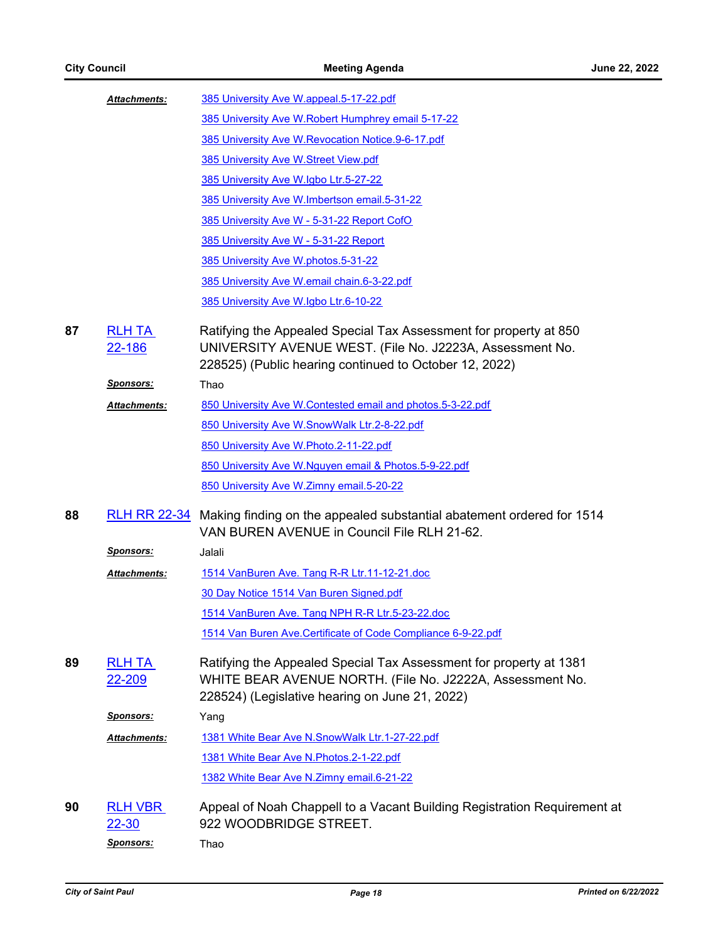|    | <b>Attachments:</b>            | 385 University Ave W.appeal.5-17-22.pdf                                                                                                                                                 |
|----|--------------------------------|-----------------------------------------------------------------------------------------------------------------------------------------------------------------------------------------|
|    |                                | 385 University Ave W. Robert Humphrey email 5-17-22                                                                                                                                     |
|    |                                | 385 University Ave W. Revocation Notice. 9-6-17.pdf                                                                                                                                     |
|    |                                | 385 University Ave W.Street View.pdf                                                                                                                                                    |
|    |                                | 385 University Ave W.Igbo Ltr.5-27-22                                                                                                                                                   |
|    |                                | 385 University Ave W.Imbertson email.5-31-22                                                                                                                                            |
|    |                                | 385 University Ave W - 5-31-22 Report CofO                                                                                                                                              |
|    |                                | 385 University Ave W - 5-31-22 Report                                                                                                                                                   |
|    |                                | 385 University Ave W.photos.5-31-22                                                                                                                                                     |
|    |                                | 385 University Ave W.email chain.6-3-22.pdf                                                                                                                                             |
|    |                                | 385 University Ave W.Igbo Ltr.6-10-22                                                                                                                                                   |
| 87 | <b>RLH TA</b><br>22-186        | Ratifying the Appealed Special Tax Assessment for property at 850<br>UNIVERSITY AVENUE WEST. (File No. J2223A, Assessment No.<br>228525) (Public hearing continued to October 12, 2022) |
|    | <b>Sponsors:</b>               | Thao                                                                                                                                                                                    |
|    | <b>Attachments:</b>            | 850 University Ave W.Contested email and photos.5-3-22.pdf                                                                                                                              |
|    |                                | 850 University Ave W. Snow Walk Ltr. 2-8-22.pdf                                                                                                                                         |
|    |                                | 850 University Ave W.Photo.2-11-22.pdf                                                                                                                                                  |
|    |                                | 850 University Ave W.Nguyen email & Photos.5-9-22.pdf                                                                                                                                   |
|    |                                | 850 University Ave W.Zimny email.5-20-22                                                                                                                                                |
| 88 |                                | RLH RR 22-34 Making finding on the appealed substantial abatement ordered for 1514<br>VAN BUREN AVENUE in Council File RLH 21-62.                                                       |
|    | <u>Sponsors:</u>               | Jalali                                                                                                                                                                                  |
|    | <b>Attachments:</b>            | 1514 VanBuren Ave. Tang R-R Ltr.11-12-21.doc                                                                                                                                            |
|    |                                | 30 Day Notice 1514 Van Buren Signed.pdf                                                                                                                                                 |
|    |                                | 1514 VanBuren Ave. Tang NPH R-R Ltr.5-23-22.doc                                                                                                                                         |
|    |                                | 1514 Van Buren Ave. Certificate of Code Compliance 6-9-22.pdf                                                                                                                           |
| 89 | <b>RLH TA</b><br>22-209        | Ratifying the Appealed Special Tax Assessment for property at 1381<br>WHITE BEAR AVENUE NORTH. (File No. J2222A, Assessment No.<br>228524) (Legislative hearing on June 21, 2022)       |
|    | <u>Sponsors:</u>               | Yang                                                                                                                                                                                    |
|    | <b>Attachments:</b>            | 1381 White Bear Ave N.SnowWalk Ltr.1-27-22.pdf                                                                                                                                          |
|    |                                | 1381 White Bear Ave N. Photos. 2-1-22.pdf                                                                                                                                               |
|    |                                | 1382 White Bear Ave N. Zimny email. 6-21-22                                                                                                                                             |
| 90 | <b>RLH VBR</b><br><u>22-30</u> | Appeal of Noah Chappell to a Vacant Building Registration Requirement at<br>922 WOODBRIDGE STREET.                                                                                      |
|    | Sponsors:                      | Thao                                                                                                                                                                                    |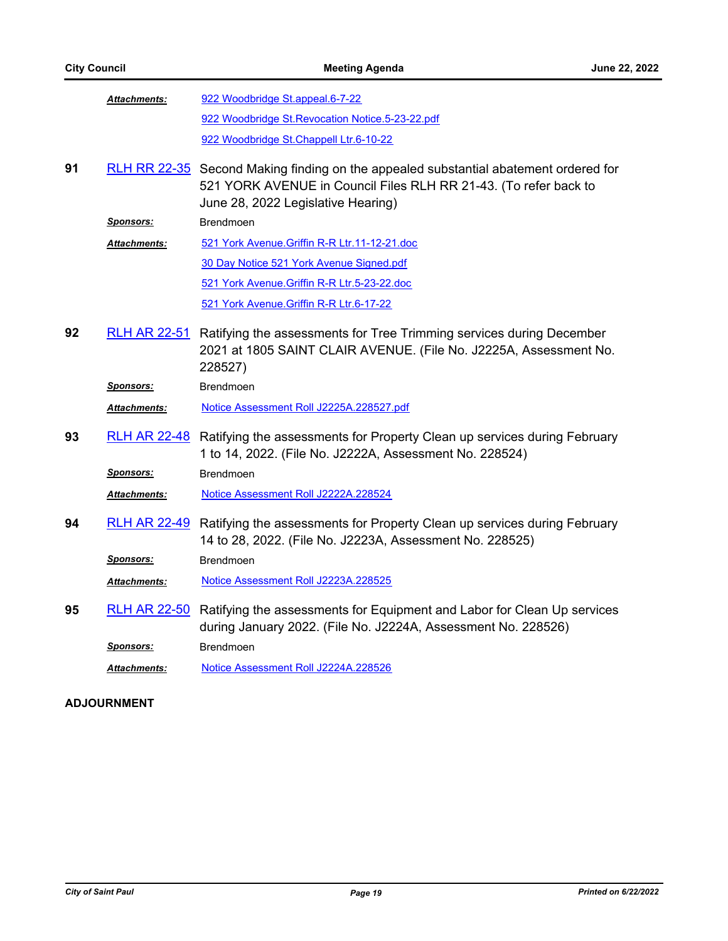|    | <u> Attachments:</u> | 922 Woodbridge St.appeal.6-7-22                                                                                                                                                                |
|----|----------------------|------------------------------------------------------------------------------------------------------------------------------------------------------------------------------------------------|
|    |                      | 922 Woodbridge St. Revocation Notice. 5-23-22.pdf                                                                                                                                              |
|    |                      | 922 Woodbridge St.Chappell Ltr.6-10-22                                                                                                                                                         |
| 91 |                      | RLH RR 22-35 Second Making finding on the appealed substantial abatement ordered for<br>521 YORK AVENUE in Council Files RLH RR 21-43. (To refer back to<br>June 28, 2022 Legislative Hearing) |
|    | <u>Sponsors:</u>     | <b>Brendmoen</b>                                                                                                                                                                               |
|    | Attachments:         | 521 York Avenue. Griffin R-R Ltr. 11-12-21.doc                                                                                                                                                 |
|    |                      | 30 Day Notice 521 York Avenue Signed.pdf                                                                                                                                                       |
|    |                      | 521 York Avenue. Griffin R-R Ltr. 5-23-22.doc                                                                                                                                                  |
|    |                      | 521 York Avenue. Griffin R-R Ltr.6-17-22                                                                                                                                                       |
| 92 | <b>RLH AR 22-51</b>  | Ratifying the assessments for Tree Trimming services during December<br>2021 at 1805 SAINT CLAIR AVENUE. (File No. J2225A, Assessment No.<br>228527)                                           |
|    | <u>Sponsors:</u>     | <b>Brendmoen</b>                                                                                                                                                                               |
|    | <b>Attachments:</b>  | Notice Assessment Roll J2225A.228527.pdf                                                                                                                                                       |
| 93 |                      | <b>RLH AR 22-48</b> Ratifying the assessments for Property Clean up services during February<br>1 to 14, 2022. (File No. J2222A, Assessment No. 228524)                                        |
|    | <u>Sponsors:</u>     | <b>Brendmoen</b>                                                                                                                                                                               |
|    | <b>Attachments:</b>  | Notice Assessment Roll J2222A.228524                                                                                                                                                           |
| 94 | <b>RLH AR 22-49</b>  | Ratifying the assessments for Property Clean up services during February<br>14 to 28, 2022. (File No. J2223A, Assessment No. 228525)                                                           |
|    | <b>Sponsors:</b>     | Brendmoen                                                                                                                                                                                      |
|    | <b>Attachments:</b>  | Notice Assessment Roll J2223A.228525                                                                                                                                                           |
| 95 | <b>RLH AR 22-50</b>  | Ratifying the assessments for Equipment and Labor for Clean Up services<br>during January 2022. (File No. J2224A, Assessment No. 228526)                                                       |
|    | <b>Sponsors:</b>     | Brendmoen                                                                                                                                                                                      |
|    | <b>Attachments:</b>  | Notice Assessment Roll J2224A.228526                                                                                                                                                           |

# **ADJOURNMENT**